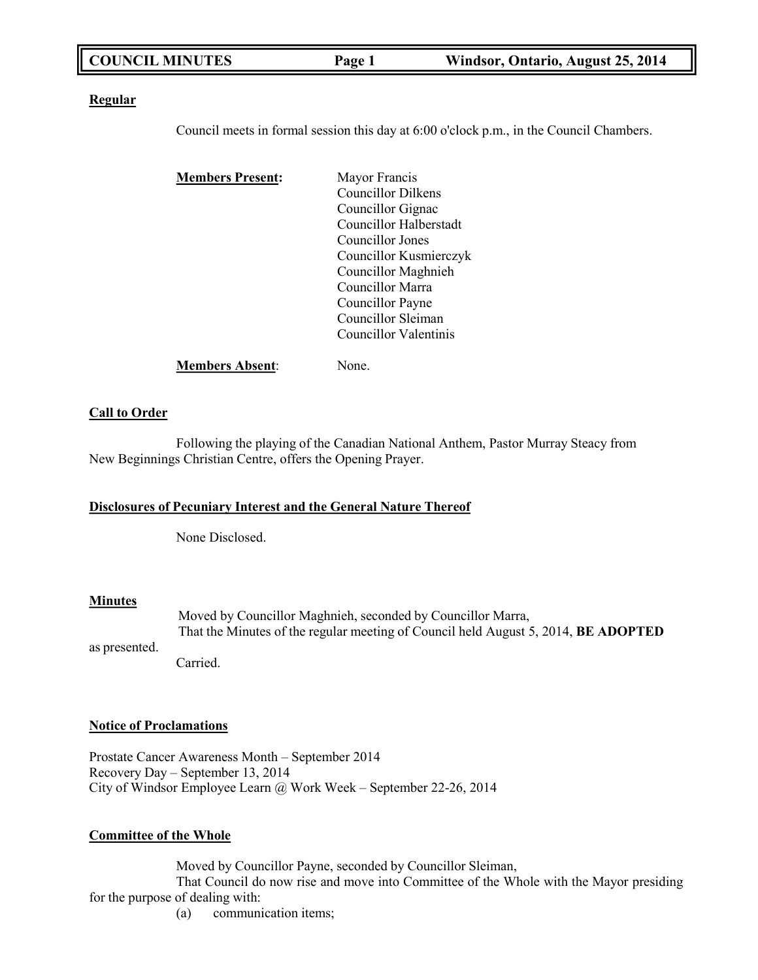|  | <b>COUNCIL MINUTES</b> | Page 1 | Windsor, Ontario, August 25, 2014 |
|--|------------------------|--------|-----------------------------------|
|--|------------------------|--------|-----------------------------------|

### **Regular**

Council meets in formal session this day at 6:00 o'clock p.m., in the Council Chambers.

| <b>Members Present:</b> | Mayor Francis             |
|-------------------------|---------------------------|
|                         | <b>Councillor Dilkens</b> |
|                         | Councillor Gignac         |
|                         | Councillor Halberstadt    |
|                         | Councillor Jones          |
|                         | Councillor Kusmierczyk    |
|                         | Councillor Maghnieh       |
|                         | Councillor Marra          |
|                         | Councillor Payne          |
|                         | Councillor Sleiman        |
|                         | Councillor Valentinis     |
| <b>Members Absent:</b>  | Jone.                     |

### **Call to Order**

Following the playing of the Canadian National Anthem, Pastor Murray Steacy from New Beginnings Christian Centre, offers the Opening Prayer.

## **Disclosures of Pecuniary Interest and the General Nature Thereof**

None Disclosed.

### **Minutes**

Moved by Councillor Maghnieh, seconded by Councillor Marra, That the Minutes of the regular meeting of Council held August 5, 2014, **BE ADOPTED**

as presented.

Carried.

### **Notice of Proclamations**

Prostate Cancer Awareness Month – September 2014 Recovery Day – September 13, 2014 City of Windsor Employee Learn @ Work Week – September 22-26, 2014

### **Committee of the Whole**

Moved by Councillor Payne, seconded by Councillor Sleiman,

That Council do now rise and move into Committee of the Whole with the Mayor presiding for the purpose of dealing with:

(a) communication items;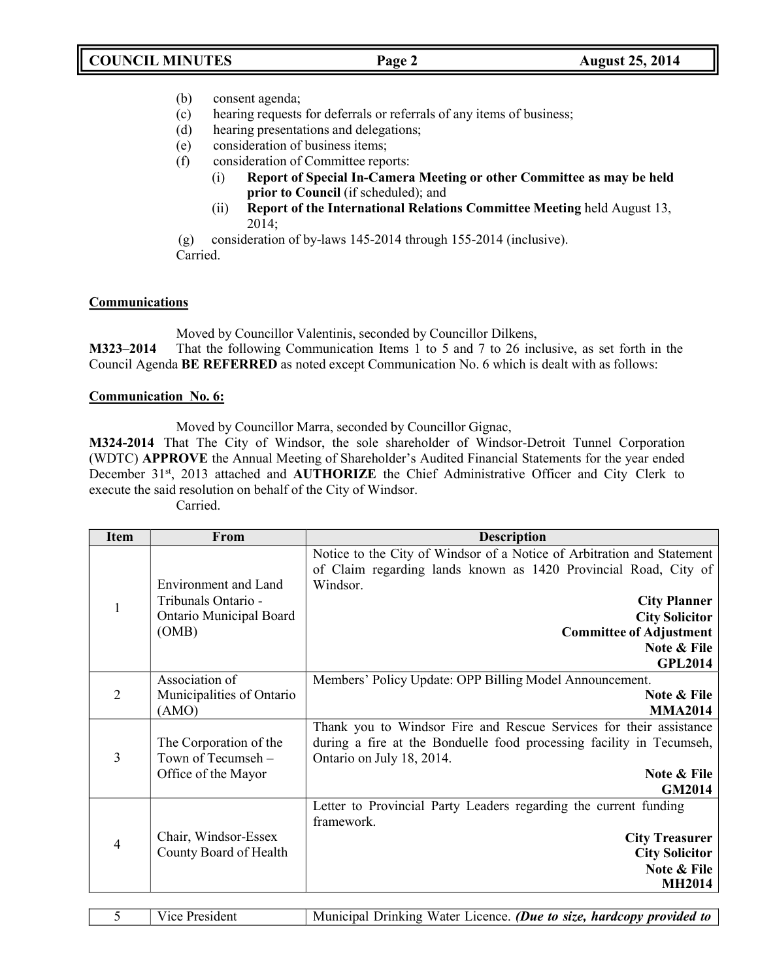- (b) consent agenda;
- (c) hearing requests for deferrals or referrals of any items of business;
- (d) hearing presentations and delegations;
- (e) consideration of business items;
- (f) consideration of Committee reports:
	- (i) **Report of Special In-Camera Meeting or other Committee as may be held prior to Council** (if scheduled); and
	- (ii) **Report of the International Relations Committee Meeting** held August 13, 2014;

(g) consideration of by-laws 145-2014 through 155-2014 (inclusive). Carried.

## **Communications**

Moved by Councillor Valentinis, seconded by Councillor Dilkens,

**M323–2014** That the following Communication Items 1 to 5 and 7 to 26 inclusive, as set forth in the Council Agenda **BE REFERRED** as noted except Communication No. 6 which is dealt with as follows:

## **Communication No. 6:**

Moved by Councillor Marra, seconded by Councillor Gignac,

**M324-2014** That The City of Windsor, the sole shareholder of Windsor-Detroit Tunnel Corporation (WDTC) **APPROVE** the Annual Meeting of Shareholder's Audited Financial Statements for the year ended December 31<sup>st</sup>, 2013 attached and AUTHORIZE the Chief Administrative Officer and City Clerk to execute the said resolution on behalf of the City of Windsor.

| arried |  |
|--------|--|
|        |  |

| <b>Item</b> | <b>From</b>                 | <b>Description</b>                                                     |  |  |
|-------------|-----------------------------|------------------------------------------------------------------------|--|--|
|             |                             | Notice to the City of Windsor of a Notice of Arbitration and Statement |  |  |
|             |                             | of Claim regarding lands known as 1420 Provincial Road, City of        |  |  |
|             | <b>Environment</b> and Land | Windsor.                                                               |  |  |
|             | Tribunals Ontario -         | <b>City Planner</b>                                                    |  |  |
|             | Ontario Municipal Board     | <b>City Solicitor</b>                                                  |  |  |
|             | (OMB)                       | <b>Committee of Adjustment</b>                                         |  |  |
|             |                             | Note & File<br><b>GPL2014</b>                                          |  |  |
|             | Association of              | Members' Policy Update: OPP Billing Model Announcement.                |  |  |
| 2           | Municipalities of Ontario   | Note & File                                                            |  |  |
|             | (AMO)                       | <b>MMA2014</b>                                                         |  |  |
|             |                             | Thank you to Windsor Fire and Rescue Services for their assistance     |  |  |
|             | The Corporation of the      | during a fire at the Bonduelle food processing facility in Tecumseh,   |  |  |
| 3           | Town of Tecumseh -          | Ontario on July 18, 2014.                                              |  |  |
|             | Office of the Mayor         | Note & File                                                            |  |  |
|             |                             | <b>GM2014</b>                                                          |  |  |
|             |                             | Letter to Provincial Party Leaders regarding the current funding       |  |  |
|             |                             | framework.                                                             |  |  |
| 4           | Chair, Windsor-Essex        | <b>City Treasurer</b>                                                  |  |  |
|             | County Board of Health      | <b>City Solicitor</b>                                                  |  |  |
|             |                             | Note & File                                                            |  |  |
|             |                             | <b>MH2014</b>                                                          |  |  |

| Vice President | Municipal Drinking Water Licence. (Due to size, hardcopy provided to |
|----------------|----------------------------------------------------------------------|
|                |                                                                      |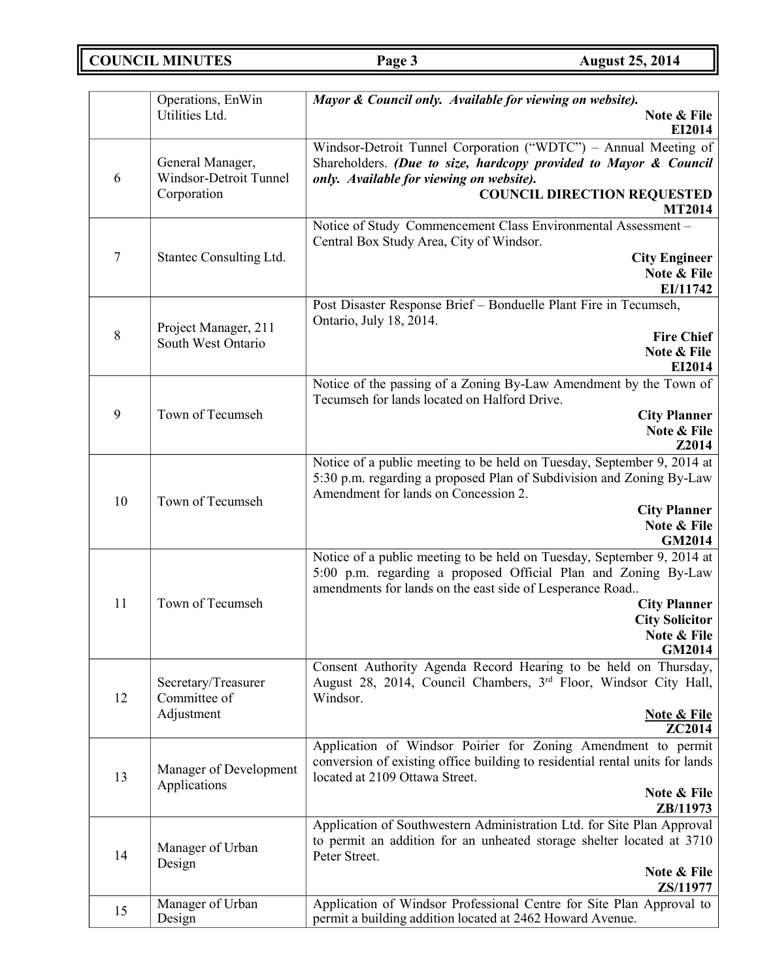**COUNCIL MINUTES Page 3 August 25, 2014**

|         | Operations, EnWin                                         | Mayor & Council only. Available for viewing on website).                                                                                                                                                                                                                      |  |
|---------|-----------------------------------------------------------|-------------------------------------------------------------------------------------------------------------------------------------------------------------------------------------------------------------------------------------------------------------------------------|--|
|         | Utilities Ltd.                                            | Note & File<br>EI2014                                                                                                                                                                                                                                                         |  |
| 6       | General Manager,<br>Windsor-Detroit Tunnel<br>Corporation | Windsor-Detroit Tunnel Corporation ("WDTC") - Annual Meeting of<br>Shareholders. (Due to size, hardcopy provided to Mayor & Council<br>only. Available for viewing on website).<br><b>COUNCIL DIRECTION REQUESTED</b><br><b>MT2014</b>                                        |  |
| $\tau$  | Stantec Consulting Ltd.                                   | Notice of Study Commencement Class Environmental Assessment -<br>Central Box Study Area, City of Windsor.<br><b>City Engineer</b><br>Note & File<br>EI/11742                                                                                                                  |  |
| $\,8\,$ | Project Manager, 211<br>South West Ontario                | Post Disaster Response Brief - Bonduelle Plant Fire in Tecumseh,<br>Ontario, July 18, 2014.<br><b>Fire Chief</b><br>Note & File<br>EI2014                                                                                                                                     |  |
| 9       | Town of Tecumseh                                          | Notice of the passing of a Zoning By-Law Amendment by the Town of<br>Tecumseh for lands located on Halford Drive.<br><b>City Planner</b><br>Note & File<br>Z2014                                                                                                              |  |
| 10      | Town of Tecumseh                                          | Notice of a public meeting to be held on Tuesday, September 9, 2014 at<br>5:30 p.m. regarding a proposed Plan of Subdivision and Zoning By-Law<br>Amendment for lands on Concession 2.<br><b>City Planner</b><br>Note & File<br>GM2014                                        |  |
| 11      | Town of Tecumseh                                          | Notice of a public meeting to be held on Tuesday, September 9, 2014 at<br>5:00 p.m. regarding a proposed Official Plan and Zoning By-Law<br>amendments for lands on the east side of Lesperance Road<br><b>City Planner</b><br><b>City Solicitor</b><br>Note & File<br>GM2014 |  |
| 12      | Secretary/Treasurer<br>Committee of<br>Adjustment         | Consent Authority Agenda Record Hearing to be held on Thursday,<br>August 28, 2014, Council Chambers, 3 <sup>rd</sup> Floor, Windsor City Hall,<br>Windsor.<br><b>Note &amp; File</b><br>ZC2014                                                                               |  |
| 13      | Manager of Development<br>Applications                    | Application of Windsor Poirier for Zoning Amendment to permit<br>conversion of existing office building to residential rental units for lands<br>located at 2109 Ottawa Street.<br>Note & File<br>ZB/11973                                                                    |  |
| 14      | Manager of Urban<br>Design                                | Application of Southwestern Administration Ltd. for Site Plan Approval<br>to permit an addition for an unheated storage shelter located at 3710<br>Peter Street.<br>Note & File<br>ZS/11977                                                                                   |  |
| 15      | Manager of Urban<br>Design                                | Application of Windsor Professional Centre for Site Plan Approval to<br>permit a building addition located at 2462 Howard Avenue.                                                                                                                                             |  |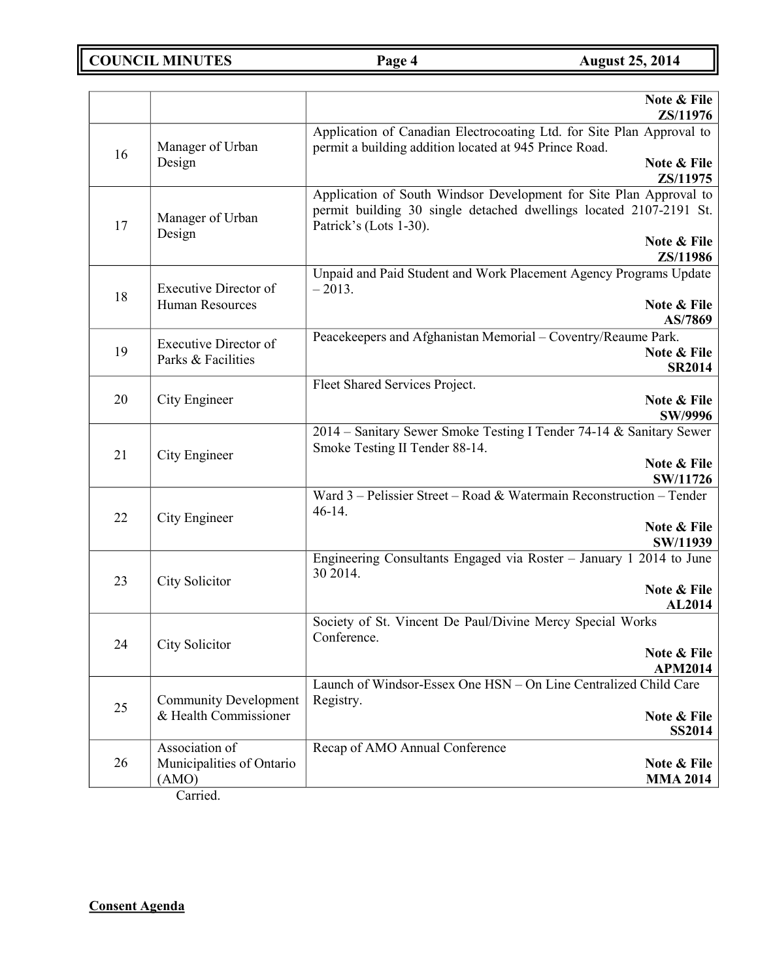**COUNCIL MINUTES Page 4 August 25, 2014**

|    |                                                      | Note & File<br>ZS/11976                                                                                                                                            |
|----|------------------------------------------------------|--------------------------------------------------------------------------------------------------------------------------------------------------------------------|
| 16 | Manager of Urban                                     | Application of Canadian Electrocoating Ltd. for Site Plan Approval to<br>permit a building addition located at 945 Prince Road.                                    |
|    | Design                                               | Note & File<br>ZS/11975                                                                                                                                            |
| 17 | Manager of Urban<br>Design                           | Application of South Windsor Development for Site Plan Approval to<br>permit building 30 single detached dwellings located 2107-2191 St.<br>Patrick's (Lots 1-30). |
|    |                                                      | Note & File<br>ZS/11986                                                                                                                                            |
| 18 | Executive Director of                                | Unpaid and Paid Student and Work Placement Agency Programs Update<br>$-2013.$                                                                                      |
|    | <b>Human Resources</b>                               | Note & File<br>AS/7869                                                                                                                                             |
| 19 | <b>Executive Director of</b><br>Parks & Facilities   | Peacekeepers and Afghanistan Memorial - Coventry/Reaume Park.<br>Note & File<br><b>SR2014</b>                                                                      |
|    |                                                      | Fleet Shared Services Project.                                                                                                                                     |
| 20 | City Engineer                                        | Note & File<br>SW/9996                                                                                                                                             |
| 21 | City Engineer                                        | 2014 - Sanitary Sewer Smoke Testing I Tender 74-14 & Sanitary Sewer<br>Smoke Testing II Tender 88-14.<br>Note & File                                               |
|    |                                                      | SW/11726                                                                                                                                                           |
| 22 | City Engineer                                        | Ward 3 - Pelissier Street - Road & Watermain Reconstruction - Tender<br>$46-14.$                                                                                   |
|    |                                                      | Note & File<br>SW/11939                                                                                                                                            |
| 23 | City Solicitor                                       | Engineering Consultants Engaged via Roster - January 1 2014 to June<br>30 2014.                                                                                    |
|    |                                                      | Note & File<br>AL2014                                                                                                                                              |
| 24 | City Solicitor                                       | Society of St. Vincent De Paul/Divine Mercy Special Works<br>Conference.<br>Note & File                                                                            |
|    |                                                      | <b>APM2014</b><br>Launch of Windsor-Essex One HSN - On Line Centralized Child Care                                                                                 |
| 25 | <b>Community Development</b>                         | Registry.                                                                                                                                                          |
|    | & Health Commissioner                                | Note & File<br><b>SS2014</b>                                                                                                                                       |
| 26 | Association of<br>Municipalities of Ontario<br>(AMO) | Recap of AMO Annual Conference<br>Note & File<br><b>MMA 2014</b>                                                                                                   |

Carried.

**Consent Agenda**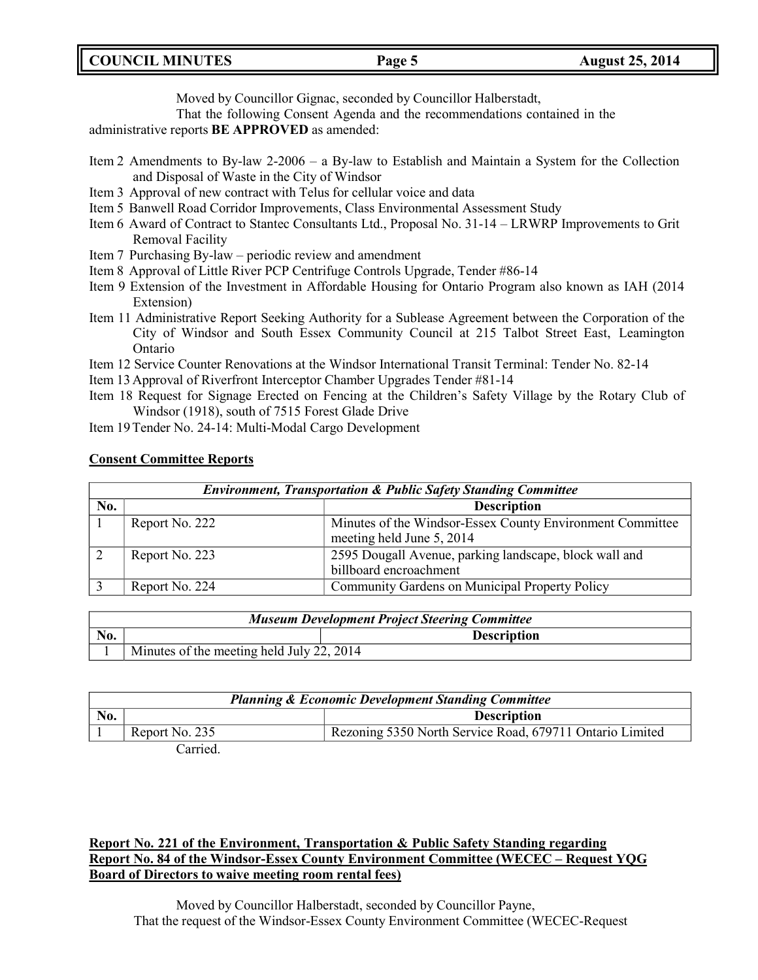**COUNCIL MINUTES Page 5 August 25, 2014**

Moved by Councillor Gignac, seconded by Councillor Halberstadt,

That the following Consent Agenda and the recommendations contained in the

administrative reports **BE APPROVED** as amended:

- Item 2 Amendments to By-law 2-2006 a By-law to Establish and Maintain a System for the Collection and Disposal of Waste in the City of Windsor
- Item 3 Approval of new contract with Telus for cellular voice and data
- Item 5 Banwell Road Corridor Improvements, Class Environmental Assessment Study
- Item 6 Award of Contract to Stantec Consultants Ltd., Proposal No. 31-14 LRWRP Improvements to Grit Removal Facility
- Item 7 Purchasing By-law periodic review and amendment
- Item 8 Approval of Little River PCP Centrifuge Controls Upgrade, Tender #86-14
- Item 9 Extension of the Investment in Affordable Housing for Ontario Program also known as IAH (2014 Extension)
- Item 11 Administrative Report Seeking Authority for a Sublease Agreement between the Corporation of the City of Windsor and South Essex Community Council at 215 Talbot Street East, Leamington Ontario
- Item 12 Service Counter Renovations at the Windsor International Transit Terminal: Tender No. 82-14
- Item 13Approval of Riverfront Interceptor Chamber Upgrades Tender #81-14
- Item 18 Request for Signage Erected on Fencing at the Children's Safety Village by the Rotary Club of Windsor (1918), south of 7515 Forest Glade Drive
- Item 19Tender No. 24-14: Multi-Modal Cargo Development

## **Consent Committee Reports**

| <b>Environment, Transportation &amp; Public Safety Standing Committee</b> |                    |                                                                                        |  |
|---------------------------------------------------------------------------|--------------------|----------------------------------------------------------------------------------------|--|
| No.                                                                       | <b>Description</b> |                                                                                        |  |
|                                                                           | Report No. 222     | Minutes of the Windsor-Essex County Environment Committee<br>meeting held June 5, 2014 |  |
|                                                                           | Report No. 223     | 2595 Dougall Avenue, parking landscape, block wall and<br>billboard encroachment       |  |
|                                                                           | Report No. 224     | Community Gardens on Municipal Property Policy                                         |  |

| <b>Museum Development Project Steering Committee</b> |                                           |                    |
|------------------------------------------------------|-------------------------------------------|--------------------|
| No.                                                  |                                           | <b>Description</b> |
|                                                      | Minutes of the meeting held July 22, 2014 |                    |

| <b>Planning &amp; Economic Development Standing Committee</b> |                |                                                          |
|---------------------------------------------------------------|----------------|----------------------------------------------------------|
| No.                                                           |                | <b>Description</b>                                       |
|                                                               | Report No. 235 | Rezoning 5350 North Service Road, 679711 Ontario Limited |
|                                                               | Carried.       |                                                          |

## **Report No. 221 of the Environment, Transportation & Public Safety Standing regarding Report No. 84 of the Windsor-Essex County Environment Committee (WECEC – Request YQG Board of Directors to waive meeting room rental fees)**

Moved by Councillor Halberstadt, seconded by Councillor Payne, That the request of the Windsor-Essex County Environment Committee (WECEC-Request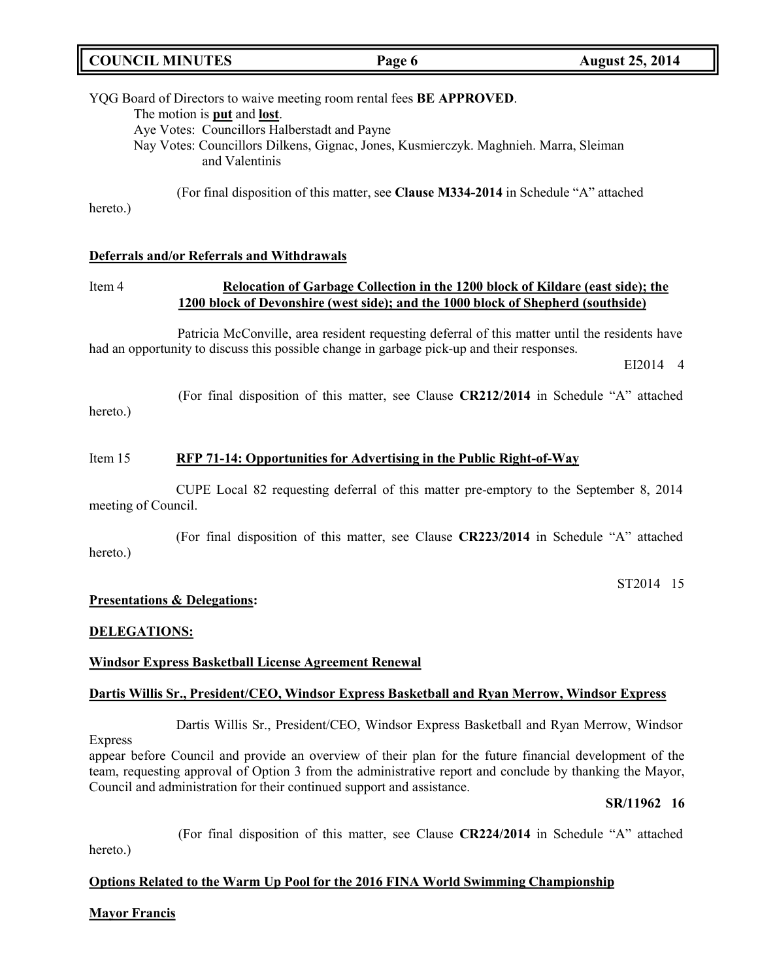| <b>COUNCIL MINUTES</b> | Page 6 | <b>August 25, 2014</b> |
|------------------------|--------|------------------------|
|                        |        |                        |

YQG Board of Directors to waive meeting room rental fees **BE APPROVED**. The motion is **put** and **lost**. Aye Votes: Councillors Halberstadt and Payne Nay Votes: Councillors Dilkens, Gignac, Jones, Kusmierczyk. Maghnieh. Marra, Sleiman and Valentinis

(For final disposition of this matter, see **Clause M334-2014** in Schedule "A" attached

hereto.)

## **Deferrals and/or Referrals and Withdrawals**

## Item 4 **Relocation of Garbage Collection in the 1200 block of Kildare (east side); the 1200 block of Devonshire (west side); and the 1000 block of Shepherd (southside)**

Patricia McConville, area resident requesting deferral of this matter until the residents have had an opportunity to discuss this possible change in garbage pick-up and their responses.

EI2014 4

(For final disposition of this matter, see Clause **CR212/2014** in Schedule "A" attached hereto.)

## Item 15 **RFP 71-14: Opportunities for Advertising in the Public Right-of-Way**

CUPE Local 82 requesting deferral of this matter pre-emptory to the September 8, 2014 meeting of Council.

(For final disposition of this matter, see Clause **CR223/2014** in Schedule "A" attached hereto.)

ST2014 15

## **Presentations & Delegations:**

## **DELEGATIONS:**

### **Windsor Express Basketball License Agreement Renewal**

### **Dartis Willis Sr., President/CEO, Windsor Express Basketball and Ryan Merrow, Windsor Express**

Dartis Willis Sr., President/CEO, Windsor Express Basketball and Ryan Merrow, Windsor Express

appear before Council and provide an overview of their plan for the future financial development of the team, requesting approval of Option 3 from the administrative report and conclude by thanking the Mayor, Council and administration for their continued support and assistance.

### **SR/11962 16**

(For final disposition of this matter, see Clause **CR224/2014** in Schedule "A" attached

hereto.)

## **Options Related to the Warm Up Pool for the 2016 FINA World Swimming Championship**

### **Mayor Francis**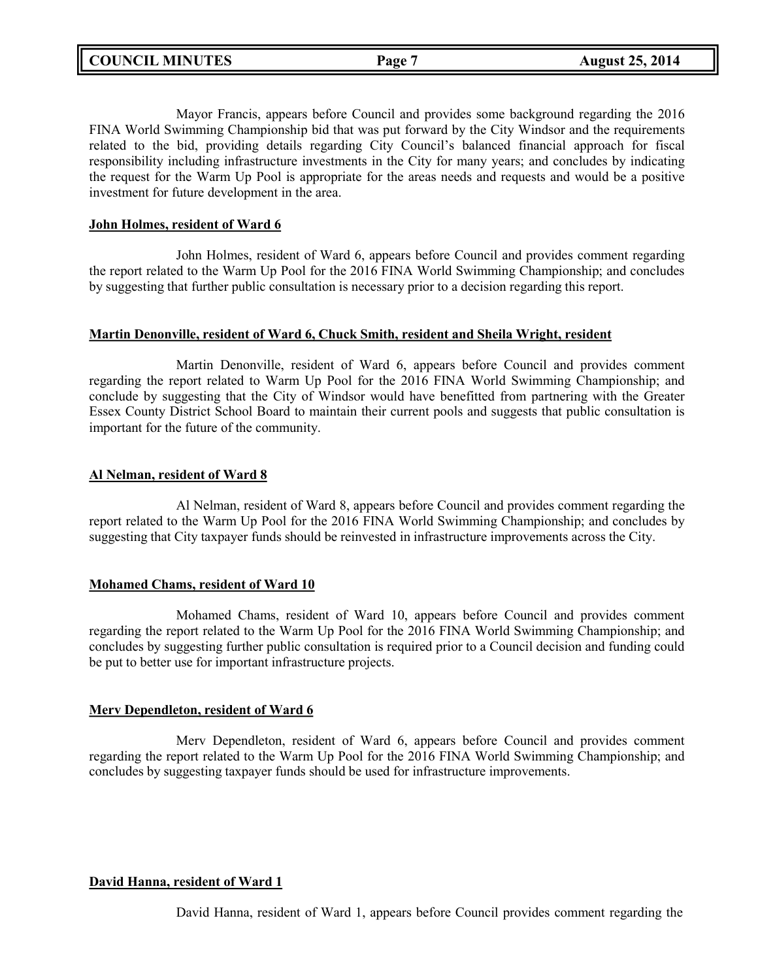Mayor Francis, appears before Council and provides some background regarding the 2016 FINA World Swimming Championship bid that was put forward by the City Windsor and the requirements related to the bid, providing details regarding City Council's balanced financial approach for fiscal responsibility including infrastructure investments in the City for many years; and concludes by indicating the request for the Warm Up Pool is appropriate for the areas needs and requests and would be a positive investment for future development in the area.

## **John Holmes, resident of Ward 6**

John Holmes, resident of Ward 6, appears before Council and provides comment regarding the report related to the Warm Up Pool for the 2016 FINA World Swimming Championship; and concludes by suggesting that further public consultation is necessary prior to a decision regarding this report.

### **Martin Denonville, resident of Ward 6, Chuck Smith, resident and Sheila Wright, resident**

Martin Denonville, resident of Ward 6, appears before Council and provides comment regarding the report related to Warm Up Pool for the 2016 FINA World Swimming Championship; and conclude by suggesting that the City of Windsor would have benefitted from partnering with the Greater Essex County District School Board to maintain their current pools and suggests that public consultation is important for the future of the community.

### **Al Nelman, resident of Ward 8**

Al Nelman, resident of Ward 8, appears before Council and provides comment regarding the report related to the Warm Up Pool for the 2016 FINA World Swimming Championship; and concludes by suggesting that City taxpayer funds should be reinvested in infrastructure improvements across the City.

## **Mohamed Chams, resident of Ward 10**

Mohamed Chams, resident of Ward 10, appears before Council and provides comment regarding the report related to the Warm Up Pool for the 2016 FINA World Swimming Championship; and concludes by suggesting further public consultation is required prior to a Council decision and funding could be put to better use for important infrastructure projects.

## **Merv Dependleton, resident of Ward 6**

Merv Dependleton, resident of Ward 6, appears before Council and provides comment regarding the report related to the Warm Up Pool for the 2016 FINA World Swimming Championship; and concludes by suggesting taxpayer funds should be used for infrastructure improvements.

## **David Hanna, resident of Ward 1**

David Hanna, resident of Ward 1, appears before Council provides comment regarding the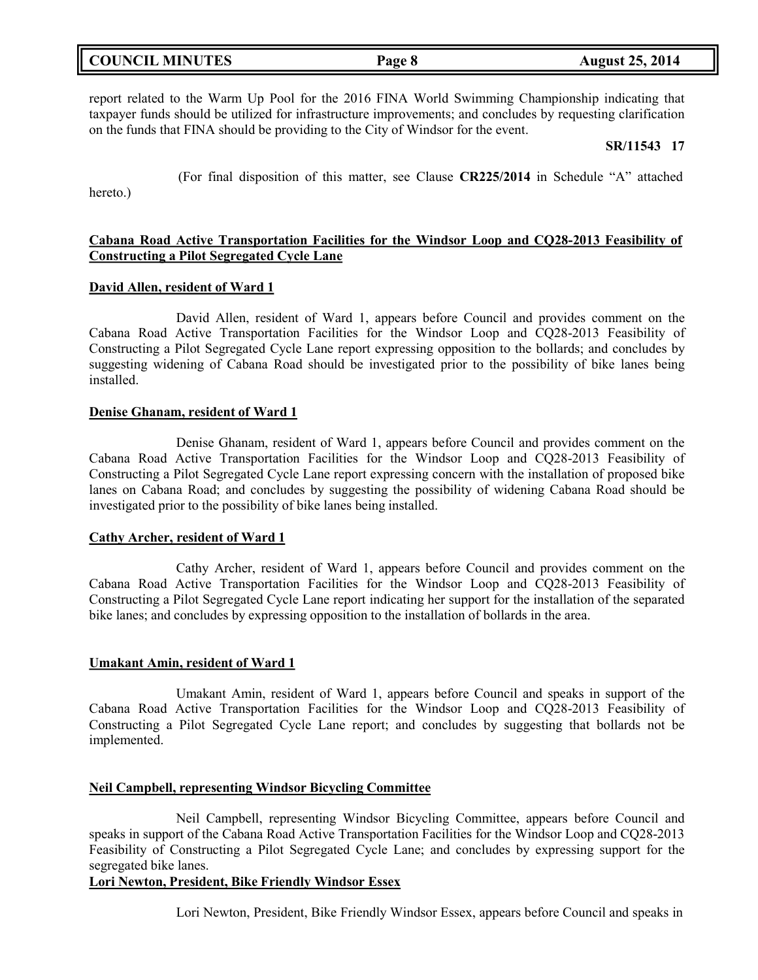| <b>COUNCIL MINUTES</b> | Page 8 | <b>August 25, 2014</b> |
|------------------------|--------|------------------------|
|                        |        |                        |

report related to the Warm Up Pool for the 2016 FINA World Swimming Championship indicating that taxpayer funds should be utilized for infrastructure improvements; and concludes by requesting clarification on the funds that FINA should be providing to the City of Windsor for the event.

## **SR/11543 17**

(For final disposition of this matter, see Clause **CR225/2014** in Schedule "A" attached hereto.)

## **Cabana Road Active Transportation Facilities for the Windsor Loop and CQ28-2013 Feasibility of Constructing a Pilot Segregated Cycle Lane**

### **David Allen, resident of Ward 1**

David Allen, resident of Ward 1, appears before Council and provides comment on the Cabana Road Active Transportation Facilities for the Windsor Loop and CQ28-2013 Feasibility of Constructing a Pilot Segregated Cycle Lane report expressing opposition to the bollards; and concludes by suggesting widening of Cabana Road should be investigated prior to the possibility of bike lanes being installed.

### **Denise Ghanam, resident of Ward 1**

Denise Ghanam, resident of Ward 1, appears before Council and provides comment on the Cabana Road Active Transportation Facilities for the Windsor Loop and CQ28-2013 Feasibility of Constructing a Pilot Segregated Cycle Lane report expressing concern with the installation of proposed bike lanes on Cabana Road; and concludes by suggesting the possibility of widening Cabana Road should be investigated prior to the possibility of bike lanes being installed.

### **Cathy Archer, resident of Ward 1**

Cathy Archer, resident of Ward 1, appears before Council and provides comment on the Cabana Road Active Transportation Facilities for the Windsor Loop and CQ28-2013 Feasibility of Constructing a Pilot Segregated Cycle Lane report indicating her support for the installation of the separated bike lanes; and concludes by expressing opposition to the installation of bollards in the area.

### **Umakant Amin, resident of Ward 1**

Umakant Amin, resident of Ward 1, appears before Council and speaks in support of the Cabana Road Active Transportation Facilities for the Windsor Loop and CQ28-2013 Feasibility of Constructing a Pilot Segregated Cycle Lane report; and concludes by suggesting that bollards not be implemented.

### **Neil Campbell, representing Windsor Bicycling Committee**

Neil Campbell, representing Windsor Bicycling Committee, appears before Council and speaks in support of the Cabana Road Active Transportation Facilities for the Windsor Loop and CQ28-2013 Feasibility of Constructing a Pilot Segregated Cycle Lane; and concludes by expressing support for the segregated bike lanes.

## **Lori Newton, President, Bike Friendly Windsor Essex**

Lori Newton, President, Bike Friendly Windsor Essex, appears before Council and speaks in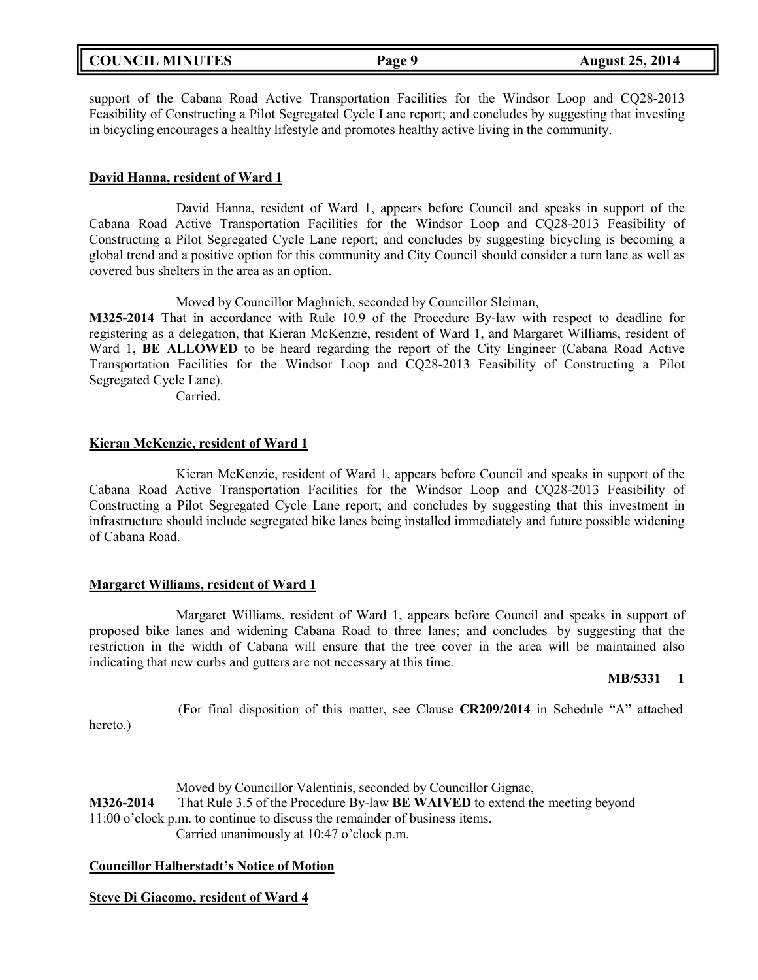|  | <b>COUNCIL MINUTES</b> |
|--|------------------------|
|--|------------------------|

support of the Cabana Road Active Transportation Facilities for the Windsor Loop and CQ28-2013 Feasibility of Constructing a Pilot Segregated Cycle Lane report; and concludes by suggesting that investing in bicycling encourages a healthy lifestyle and promotes healthy active living in the community.

## **David Hanna, resident of Ward 1**

David Hanna, resident of Ward 1, appears before Council and speaks in support of the Cabana Road Active Transportation Facilities for the Windsor Loop and CQ28-2013 Feasibility of Constructing a Pilot Segregated Cycle Lane report; and concludes by suggesting bicycling is becoming a global trend and a positive option for this community and City Council should consider a turn lane as well as covered bus shelters in the area as an option.

Moved by Councillor Maghnieh, seconded by Councillor Sleiman,

**M325-2014** That in accordance with Rule 10.9 of the Procedure By-law with respect to deadline for registering as a delegation, that Kieran McKenzie, resident of Ward 1, and Margaret Williams, resident of Ward 1, **BE ALLOWED** to be heard regarding the report of the City Engineer (Cabana Road Active Transportation Facilities for the Windsor Loop and CQ28-2013 Feasibility of Constructing a Pilot Segregated Cycle Lane).

Carried.

### **Kieran McKenzie, resident of Ward 1**

Kieran McKenzie, resident of Ward 1, appears before Council and speaks in support of the Cabana Road Active Transportation Facilities for the Windsor Loop and CQ28-2013 Feasibility of Constructing a Pilot Segregated Cycle Lane report; and concludes by suggesting that this investment in infrastructure should include segregated bike lanes being installed immediately and future possible widening of Cabana Road.

### **Margaret Williams, resident of Ward 1**

hereto.)

Margaret Williams, resident of Ward 1, appears before Council and speaks in support of proposed bike lanes and widening Cabana Road to three lanes; and concludes by suggesting that the restriction in the width of Cabana will ensure that the tree cover in the area will be maintained also indicating that new curbs and gutters are not necessary at this time.

### **MB/5331 1**

(For final disposition of this matter, see Clause **CR209/2014** in Schedule "A" attached

Moved by Councillor Valentinis, seconded by Councillor Gignac, **M326-2014** That Rule 3.5 of the Procedure By-law **BE WAIVED** to extend the meeting beyond 11:00 o'clock p.m. to continue to discuss the remainder of business items. Carried unanimously at 10:47 o'clock p.m.

### **Councillor Halberstadt's Notice of Motion**

## **Steve Di Giacomo, resident of Ward 4**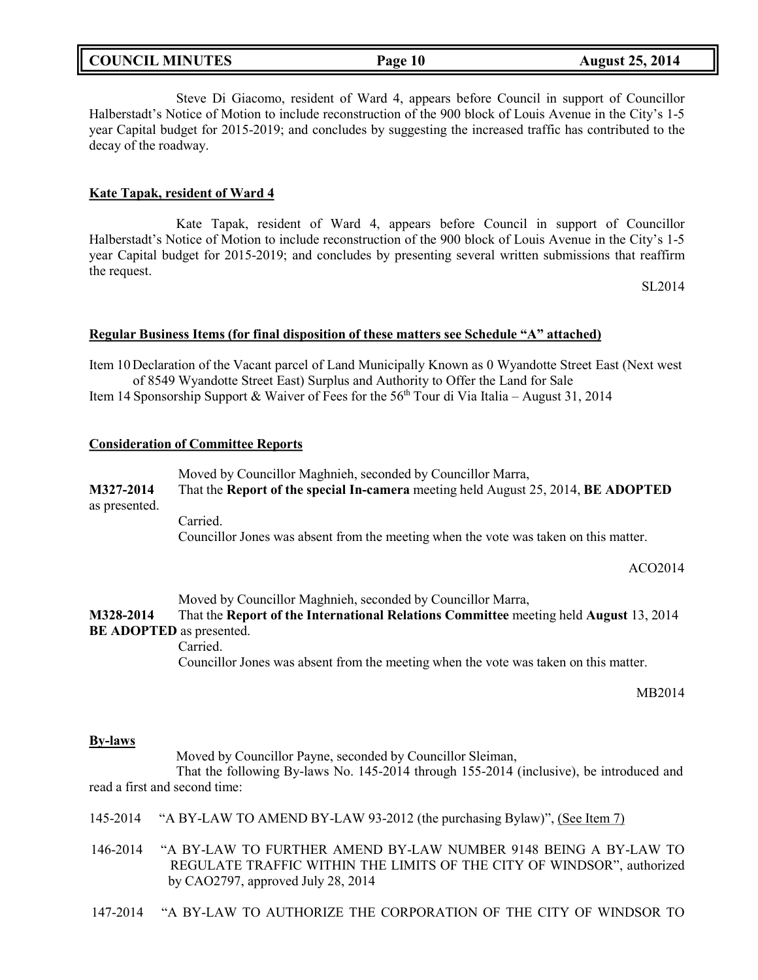| <b>COUNCIL MINUTES</b> |  |  |
|------------------------|--|--|
|------------------------|--|--|

Steve Di Giacomo, resident of Ward 4, appears before Council in support of Councillor Halberstadt's Notice of Motion to include reconstruction of the 900 block of Louis Avenue in the City's 1-5 year Capital budget for 2015-2019; and concludes by suggesting the increased traffic has contributed to the decay of the roadway.

### **Kate Tapak, resident of Ward 4**

Kate Tapak, resident of Ward 4, appears before Council in support of Councillor Halberstadt's Notice of Motion to include reconstruction of the 900 block of Louis Avenue in the City's 1-5 year Capital budget for 2015-2019; and concludes by presenting several written submissions that reaffirm the request.

SL2014

### **Regular Business Items (for final disposition of these matters see Schedule "A" attached)**

Item 10Declaration of the Vacant parcel of Land Municipally Known as 0 Wyandotte Street East (Next west of 8549 Wyandotte Street East) Surplus and Authority to Offer the Land for Sale

Item 14 Sponsorship Support & Waiver of Fees for the  $56<sup>th</sup>$  Tour di Via Italia – August 31, 2014

### **Consideration of Committee Reports**

Moved by Councillor Maghnieh, seconded by Councillor Marra, **M327-2014** That the **Report of the special In-camera** meeting held August 25, 2014, **BE ADOPTED** as presented. Carried.

Councillor Jones was absent from the meeting when the vote was taken on this matter.

ACO2014

Moved by Councillor Maghnieh, seconded by Councillor Marra, **M328-2014** That the **Report of the International Relations Committee** meeting held **August** 13, 2014 **BE ADOPTED** as presented. Carried. Councillor Jones was absent from the meeting when the vote was taken on this matter.

MB2014

### **By-laws**

Moved by Councillor Payne, seconded by Councillor Sleiman,

That the following By-laws No. 145-2014 through 155-2014 (inclusive), be introduced and read a first and second time:

- 145-2014 "A BY-LAW TO AMEND BY-LAW 93-2012 (the purchasing Bylaw)", (See Item 7)
- 146-2014 "A BY-LAW TO FURTHER AMEND BY-LAW NUMBER 9148 BEING A BY-LAW TO REGULATE TRAFFIC WITHIN THE LIMITS OF THE CITY OF WINDSOR", authorized by CAO2797, approved July 28, 2014
- 147-2014 "A BY-LAW TO AUTHORIZE THE CORPORATION OF THE CITY OF WINDSOR TO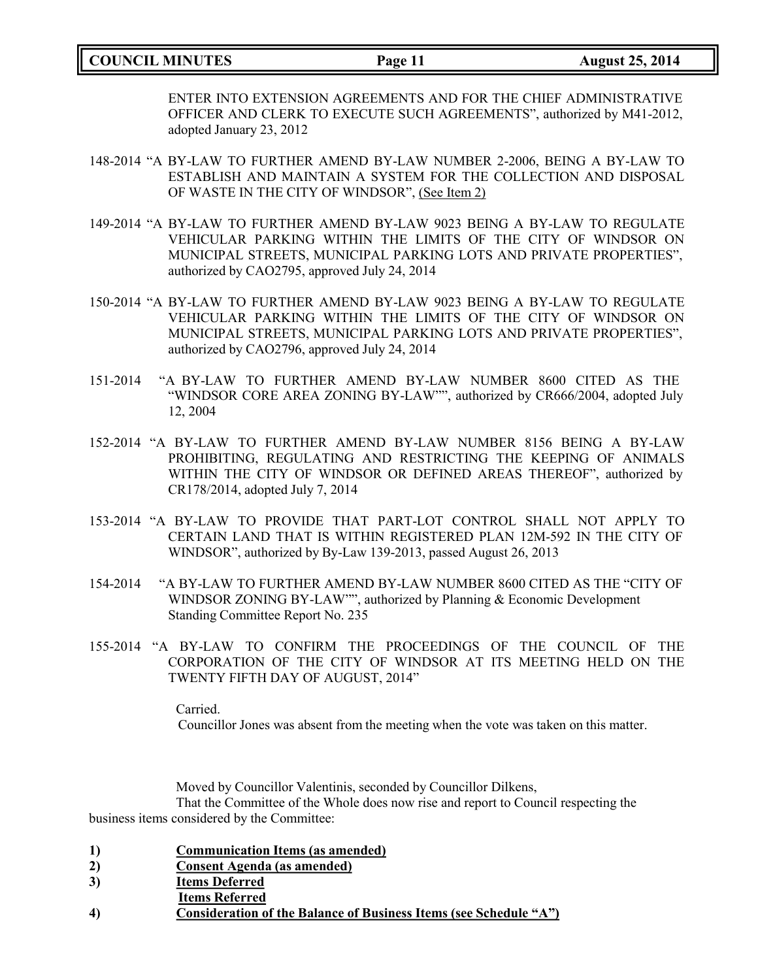## **COUNCIL MINUTES Page 11 August 25, 2014**

ENTER INTO EXTENSION AGREEMENTS AND FOR THE CHIEF ADMINISTRATIVE OFFICER AND CLERK TO EXECUTE SUCH AGREEMENTS", authorized by M41-2012, adopted January 23, 2012

- 148-2014 "A BY-LAW TO FURTHER AMEND BY-LAW NUMBER 2-2006, BEING A BY-LAW TO ESTABLISH AND MAINTAIN A SYSTEM FOR THE COLLECTION AND DISPOSAL OF WASTE IN THE CITY OF WINDSOR", (See Item 2)
- 149-2014 "A BY-LAW TO FURTHER AMEND BY-LAW 9023 BEING A BY-LAW TO REGULATE VEHICULAR PARKING WITHIN THE LIMITS OF THE CITY OF WINDSOR ON MUNICIPAL STREETS, MUNICIPAL PARKING LOTS AND PRIVATE PROPERTIES", authorized by CAO2795, approved July 24, 2014
- 150-2014 "A BY-LAW TO FURTHER AMEND BY-LAW 9023 BEING A BY-LAW TO REGULATE VEHICULAR PARKING WITHIN THE LIMITS OF THE CITY OF WINDSOR ON MUNICIPAL STREETS, MUNICIPAL PARKING LOTS AND PRIVATE PROPERTIES", authorized by CAO2796, approved July 24, 2014
- 151-2014 "A BY-LAW TO FURTHER AMEND BY-LAW NUMBER 8600 CITED AS THE "WINDSOR CORE AREA ZONING BY-LAW"", authorized by CR666/2004, adopted July 12, 2004
- 152-2014 "A BY-LAW TO FURTHER AMEND BY-LAW NUMBER 8156 BEING A BY-LAW PROHIBITING, REGULATING AND RESTRICTING THE KEEPING OF ANIMALS WITHIN THE CITY OF WINDSOR OR DEFINED AREAS THEREOF", authorized by CR178/2014, adopted July 7, 2014
- 153-2014 "A BY-LAW TO PROVIDE THAT PART-LOT CONTROL SHALL NOT APPLY TO CERTAIN LAND THAT IS WITHIN REGISTERED PLAN 12M-592 IN THE CITY OF WINDSOR", authorized by By-Law 139-2013, passed August 26, 2013
- 154-2014 "A BY-LAW TO FURTHER AMEND BY-LAW NUMBER 8600 CITED AS THE "CITY OF WINDSOR ZONING BY-LAW"", authorized by Planning & Economic Development Standing Committee Report No. 235
- 155-2014 "A BY-LAW TO CONFIRM THE PROCEEDINGS OF THE COUNCIL OF THE CORPORATION OF THE CITY OF WINDSOR AT ITS MEETING HELD ON THE TWENTY FIFTH DAY OF AUGUST, 2014"

Carried. Councillor Jones was absent from the meeting when the vote was taken on this matter.

Moved by Councillor Valentinis, seconded by Councillor Dilkens, That the Committee of the Whole does now rise and report to Council respecting the business items considered by the Committee:

- **1) Communication Items (as amended)**
- **2) Consent Agenda (as amended)**
- **3) Items Deferred**
- **Items Referred**
- **4) Consideration of the Balance of Business Items (see Schedule "A")**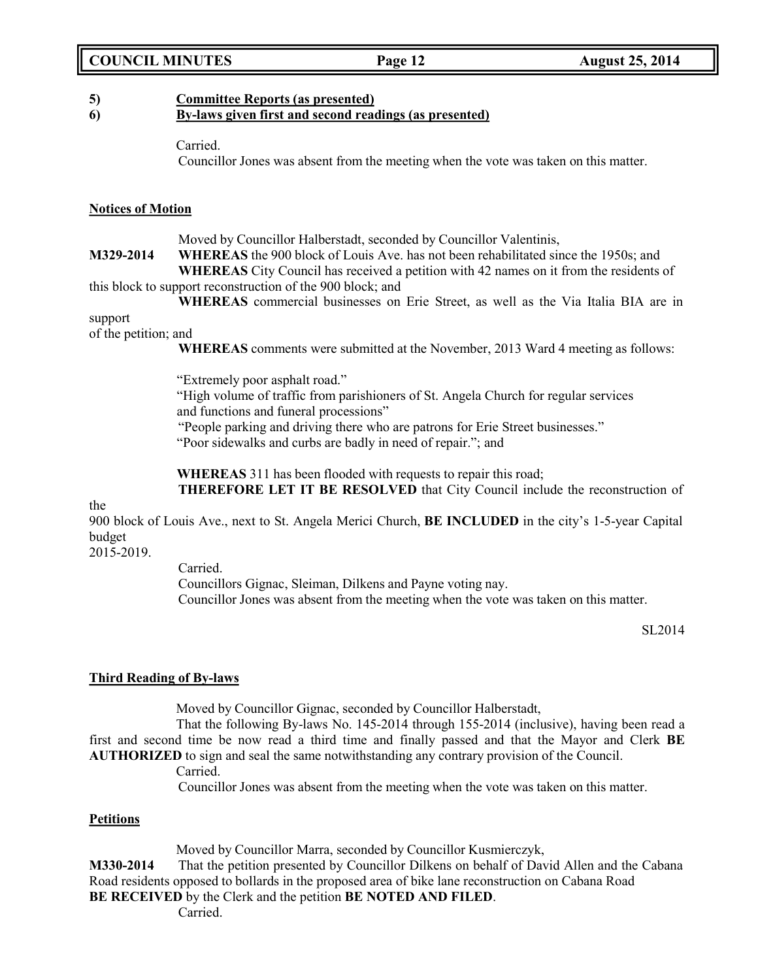## **COUNCIL MINUTES Page 12 August 25, 2014**

## **5) Committee Reports (as presented)**

## **6) By-laws given first and second readings (as presented)**

Carried.

Councillor Jones was absent from the meeting when the vote was taken on this matter.

## **Notices of Motion**

Moved by Councillor Halberstadt, seconded by Councillor Valentinis,

**M329-2014 WHEREAS** the 900 block of Louis Ave. has not been rehabilitated since the 1950s; and **WHEREAS** City Council has received a petition with 42 names on it from the residents of this block to support reconstruction of the 900 block; and

**WHEREAS** commercial businesses on Erie Street, as well as the Via Italia BIA are in support

of the petition; and

**WHEREAS** comments were submitted at the November, 2013 Ward 4 meeting as follows:

"Extremely poor asphalt road."

"High volume of traffic from parishioners of St. Angela Church for regular services and functions and funeral processions"

"People parking and driving there who are patrons for Erie Street businesses."

"Poor sidewalks and curbs are badly in need of repair."; and

**WHEREAS** 311 has been flooded with requests to repair this road;

**THEREFORE LET IT BE RESOLVED** that City Council include the reconstruction of

the

900 block of Louis Ave., next to St. Angela Merici Church, **BE INCLUDED** in the city's 1-5-year Capital budget

2015-2019.

Carried.

Councillors Gignac, Sleiman, Dilkens and Payne voting nay. Councillor Jones was absent from the meeting when the vote was taken on this matter.

SL2014

## **Third Reading of By-laws**

Moved by Councillor Gignac, seconded by Councillor Halberstadt,

That the following By-laws No. 145-2014 through 155-2014 (inclusive), having been read a first and second time be now read a third time and finally passed and that the Mayor and Clerk **BE AUTHORIZED** to sign and seal the same notwithstanding any contrary provision of the Council.

Carried.

Councillor Jones was absent from the meeting when the vote was taken on this matter.

## **Petitions**

Moved by Councillor Marra, seconded by Councillor Kusmierczyk,

**M330-2014** That the petition presented by Councillor Dilkens on behalf of David Allen and the Cabana Road residents opposed to bollards in the proposed area of bike lane reconstruction on Cabana Road **BE RECEIVED** by the Clerk and the petition **BE NOTED AND FILED**.

Carried.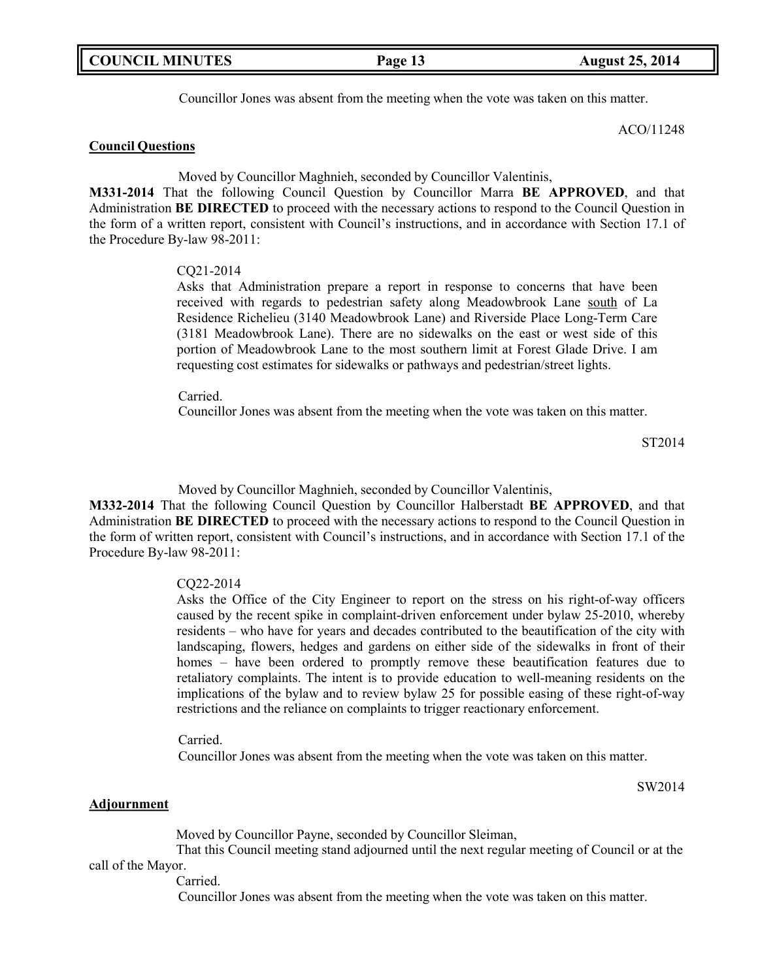Councillor Jones was absent from the meeting when the vote was taken on this matter.

ACO/11248

## **Council Questions**

Moved by Councillor Maghnieh, seconded by Councillor Valentinis,

**M331-2014** That the following Council Question by Councillor Marra **BE APPROVED**, and that Administration **BE DIRECTED** to proceed with the necessary actions to respond to the Council Question in the form of a written report, consistent with Council's instructions, and in accordance with Section 17.1 of the Procedure By-law 98-2011:

### CQ21-2014

Asks that Administration prepare a report in response to concerns that have been received with regards to pedestrian safety along Meadowbrook Lane south of La Residence Richelieu (3140 Meadowbrook Lane) and Riverside Place Long-Term Care (3181 Meadowbrook Lane). There are no sidewalks on the east or west side of this portion of Meadowbrook Lane to the most southern limit at Forest Glade Drive. I am requesting cost estimates for sidewalks or pathways and pedestrian/street lights.

Carried.

Councillor Jones was absent from the meeting when the vote was taken on this matter.

ST2014

Moved by Councillor Maghnieh, seconded by Councillor Valentinis,

**M332-2014** That the following Council Question by Councillor Halberstadt **BE APPROVED**, and that Administration **BE DIRECTED** to proceed with the necessary actions to respond to the Council Question in the form of written report, consistent with Council's instructions, and in accordance with Section 17.1 of the Procedure By-law 98-2011:

### CQ22-2014

Asks the Office of the City Engineer to report on the stress on his right-of-way officers caused by the recent spike in complaint-driven enforcement under bylaw 25-2010, whereby residents – who have for years and decades contributed to the beautification of the city with landscaping, flowers, hedges and gardens on either side of the sidewalks in front of their homes – have been ordered to promptly remove these beautification features due to retaliatory complaints. The intent is to provide education to well-meaning residents on the implications of the bylaw and to review bylaw 25 for possible easing of these right-of-way restrictions and the reliance on complaints to trigger reactionary enforcement.

Carried.

Councillor Jones was absent from the meeting when the vote was taken on this matter.

SW2014

### **Adjournment**

Moved by Councillor Payne, seconded by Councillor Sleiman, That this Council meeting stand adjourned until the next regular meeting of Council or at the

call of the Mayor.

Carried.

Councillor Jones was absent from the meeting when the vote was taken on this matter.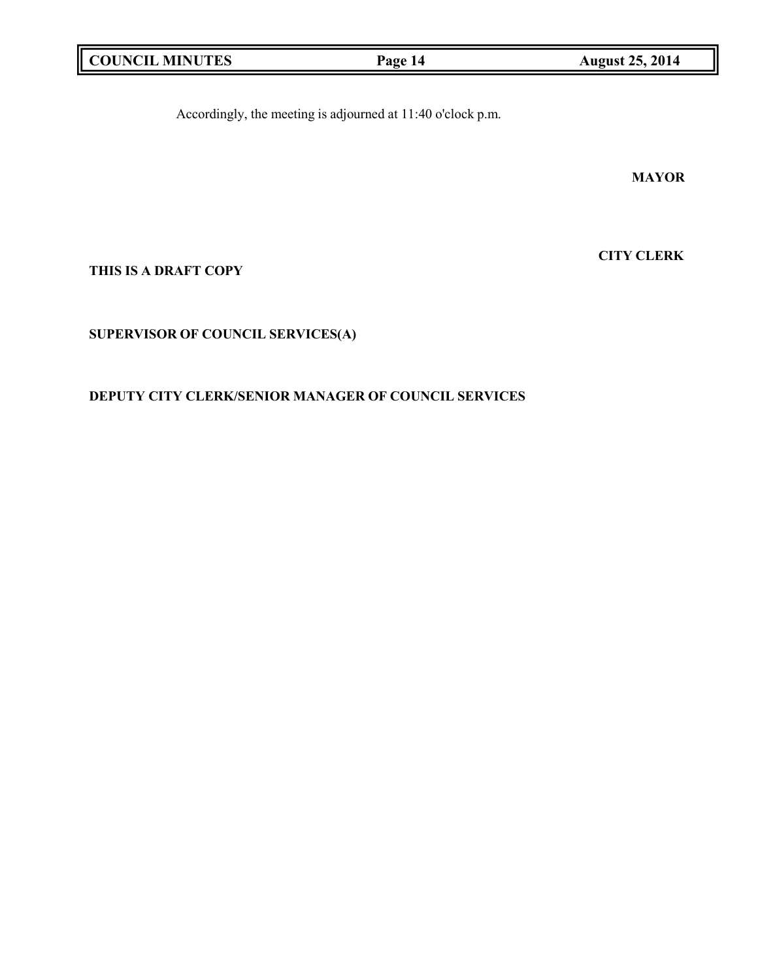|  | <b>COUNCIL MINUTES</b> |
|--|------------------------|
|--|------------------------|

**Page 14 August 25, 2014** 

Accordingly, the meeting is adjourned at 11:40 o'clock p.m.

**MAYOR**

**CITY CLERK**

**THIS IS A DRAFT COPY**

**SUPERVISOR OF COUNCIL SERVICES(A)**

**DEPUTY CITY CLERK/SENIOR MANAGER OF COUNCIL SERVICES**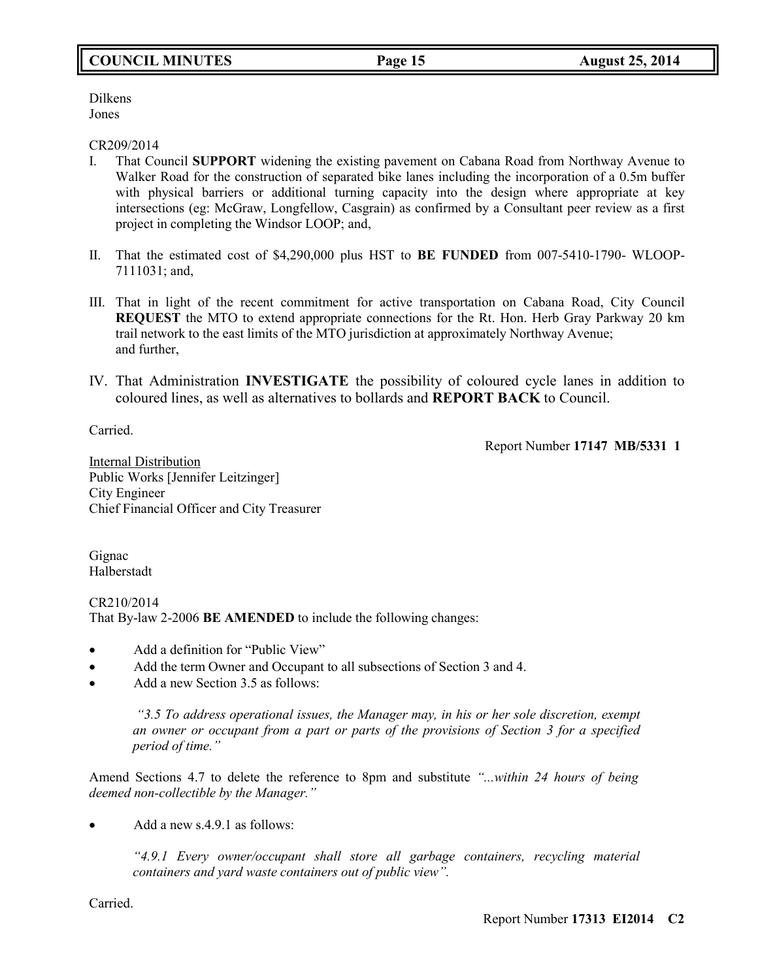## **COUNCIL MINUTES Page 15 August 25, 2014**

Dilkens Jones

### CR209/2014

- I. That Council **SUPPORT** widening the existing pavement on Cabana Road from Northway Avenue to Walker Road for the construction of separated bike lanes including the incorporation of a 0.5m buffer with physical barriers or additional turning capacity into the design where appropriate at key intersections (eg: McGraw, Longfellow, Casgrain) as confirmed by a Consultant peer review as a first project in completing the Windsor LOOP; and,
- II. That the estimated cost of \$4,290,000 plus HST to **BE FUNDED** from 007-5410-1790- WLOOP-7111031; and,
- III. That in light of the recent commitment for active transportation on Cabana Road, City Council **REQUEST** the MTO to extend appropriate connections for the Rt. Hon. Herb Gray Parkway 20 km trail network to the east limits of the MTO jurisdiction at approximately Northway Avenue; and further,
- IV. That Administration **INVESTIGATE** the possibility of coloured cycle lanes in addition to coloured lines, as well as alternatives to bollards and **REPORT BACK** to Council.

Carried.

Report Number **17147 MB/5331 1**

Internal Distribution Public Works [Jennifer Leitzinger] City Engineer Chief Financial Officer and City Treasurer

Gignac Halberstadt

CR210/2014 That By-law 2-2006 **BE AMENDED** to include the following changes:

- Add a definition for "Public View"
- Add the term Owner and Occupant to all subsections of Section 3 and 4.
- Add a new Section 3.5 as follows:

*"3.5 To address operational issues, the Manager may, in his or her sole discretion, exempt an owner or occupant from a part or parts of the provisions of Section 3 for a specified period of time."*

Amend Sections 4.7 to delete the reference to 8pm and substitute *"...within 24 hours of being deemed non-collectible by the Manager."*

Add a new s.4.9.1 as follows:

*"4.9.1 Every owner/occupant shall store all garbage containers, recycling material containers and yard waste containers out of public view".*

Carried.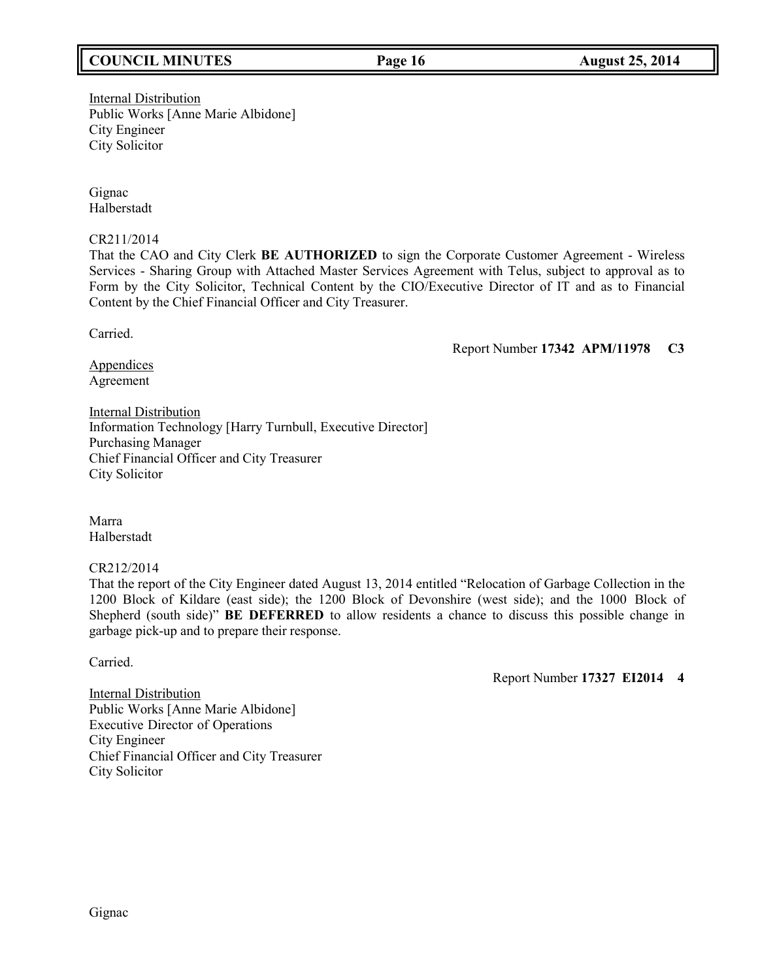## **COUNCIL MINUTES Page 16 August 25, 2014**

Internal Distribution Public Works [Anne Marie Albidone] City Engineer City Solicitor

Gignac Halberstadt

CR211/2014

That the CAO and City Clerk **BE AUTHORIZED** to sign the Corporate Customer Agreement - Wireless Services - Sharing Group with Attached Master Services Agreement with Telus, subject to approval as to Form by the City Solicitor, Technical Content by the CIO/Executive Director of IT and as to Financial Content by the Chief Financial Officer and City Treasurer.

Carried.

Report Number **17342 APM/11978 C3**

**Appendices** Agreement

**Internal Distribution** Information Technology [Harry Turnbull, Executive Director] Purchasing Manager Chief Financial Officer and City Treasurer City Solicitor

Marra Halberstadt

CR212/2014

That the report of the City Engineer dated August 13, 2014 entitled "Relocation of Garbage Collection in the 1200 Block of Kildare (east side); the 1200 Block of Devonshire (west side); and the 1000 Block of Shepherd (south side)" **BE DEFERRED** to allow residents a chance to discuss this possible change in garbage pick-up and to prepare their response.

Carried.

Report Number **17327 EI2014 4**

Internal Distribution Public Works [Anne Marie Albidone] Executive Director of Operations City Engineer Chief Financial Officer and City Treasurer City Solicitor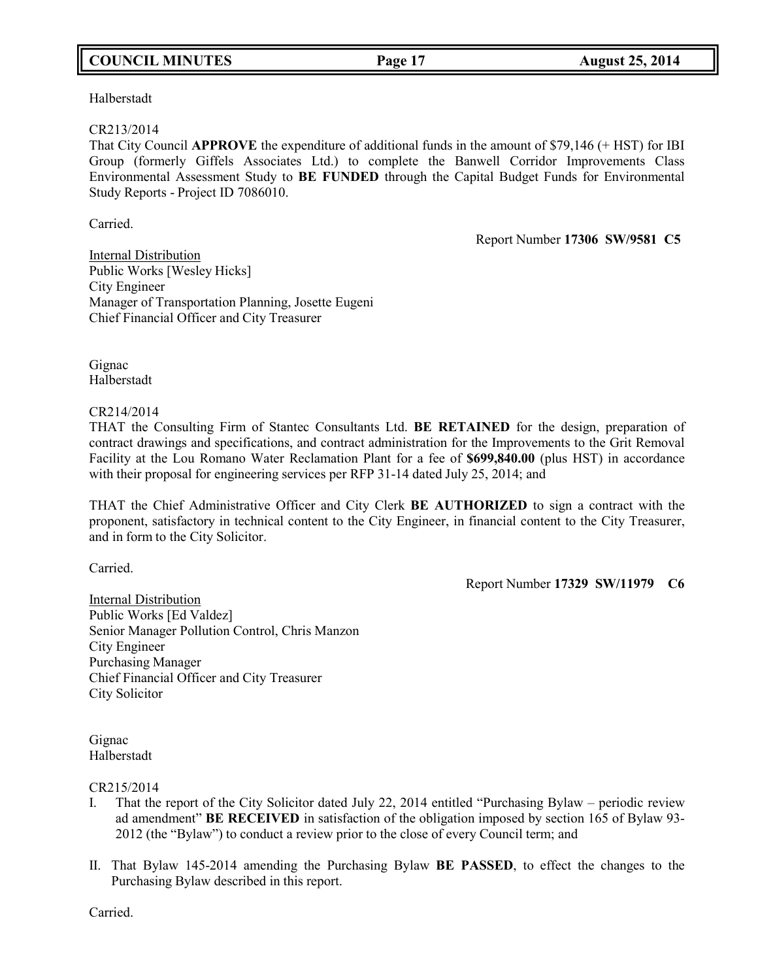## **COUNCIL MINUTES Page 17 August 25, 2014**

Halberstadt

### CR213/2014

That City Council **APPROVE** the expenditure of additional funds in the amount of \$79,146 (+ HST) for IBI Group (formerly Giffels Associates Ltd.) to complete the Banwell Corridor Improvements Class Environmental Assessment Study to **BE FUNDED** through the Capital Budget Funds for Environmental Study Reports - Project ID 7086010.

Carried.

Report Number **17306 SW/9581 C5**

Internal Distribution Public Works [Wesley Hicks] City Engineer Manager of Transportation Planning, Josette Eugeni Chief Financial Officer and City Treasurer

Gignac Halberstadt

CR214/2014

THAT the Consulting Firm of Stantec Consultants Ltd. **BE RETAINED** for the design, preparation of contract drawings and specifications, and contract administration for the Improvements to the Grit Removal Facility at the Lou Romano Water Reclamation Plant for a fee of **\$699,840.00** (plus HST) in accordance with their proposal for engineering services per RFP 31-14 dated July 25, 2014; and

THAT the Chief Administrative Officer and City Clerk **BE AUTHORIZED** to sign a contract with the proponent, satisfactory in technical content to the City Engineer, in financial content to the City Treasurer, and in form to the City Solicitor.

Carried.

Report Number **17329 SW/11979 C6**

Internal Distribution Public Works [Ed Valdez] Senior Manager Pollution Control, Chris Manzon City Engineer Purchasing Manager Chief Financial Officer and City Treasurer City Solicitor

Gignac Halberstadt

CR215/2014

- I. That the report of the City Solicitor dated July 22, 2014 entitled "Purchasing Bylaw periodic review ad amendment" **BE RECEIVED** in satisfaction of the obligation imposed by section 165 of Bylaw 93- 2012 (the "Bylaw") to conduct a review prior to the close of every Council term; and
- II. That Bylaw 145-2014 amending the Purchasing Bylaw **BE PASSED**, to effect the changes to the Purchasing Bylaw described in this report.

Carried.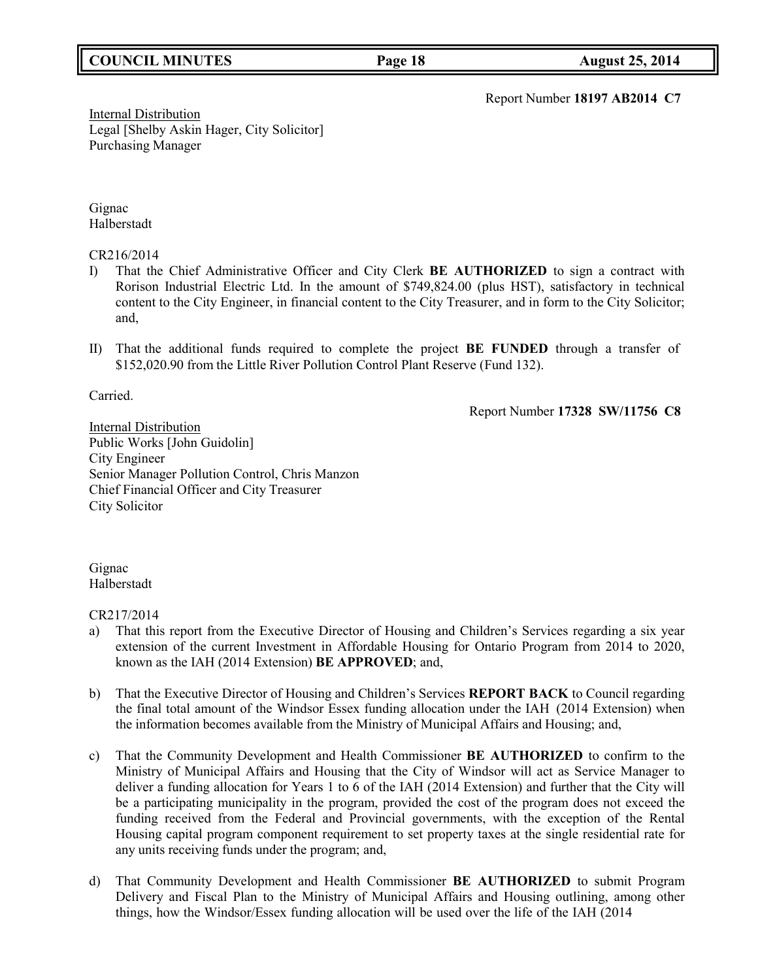## **COUNCIL MINUTES Page 18 August 25, 2014**

Report Number **18197 AB2014 C7**

**Internal Distribution** Legal [Shelby Askin Hager, City Solicitor] Purchasing Manager

Gignac Halberstadt

### CR216/2014

- I) That the Chief Administrative Officer and City Clerk **BE AUTHORIZED** to sign a contract with Rorison Industrial Electric Ltd. In the amount of \$749,824.00 (plus HST), satisfactory in technical content to the City Engineer, in financial content to the City Treasurer, and in form to the City Solicitor; and,
- II) That the additional funds required to complete the project **BE FUNDED** through a transfer of \$152,020.90 from the Little River Pollution Control Plant Reserve (Fund 132).

Carried.

Report Number **17328 SW/11756 C8**

Internal Distribution Public Works [John Guidolin] City Engineer Senior Manager Pollution Control, Chris Manzon Chief Financial Officer and City Treasurer City Solicitor

Gignac Halberstadt

CR217/2014

- a) That this report from the Executive Director of Housing and Children's Services regarding a six year extension of the current Investment in Affordable Housing for Ontario Program from 2014 to 2020, known as the IAH (2014 Extension) **BE APPROVED**; and,
- b) That the Executive Director of Housing and Children's Services **REPORT BACK** to Council regarding the final total amount of the Windsor Essex funding allocation under the IAH (2014 Extension) when the information becomes available from the Ministry of Municipal Affairs and Housing; and,
- c) That the Community Development and Health Commissioner **BE AUTHORIZED** to confirm to the Ministry of Municipal Affairs and Housing that the City of Windsor will act as Service Manager to deliver a funding allocation for Years 1 to 6 of the IAH (2014 Extension) and further that the City will be a participating municipality in the program, provided the cost of the program does not exceed the funding received from the Federal and Provincial governments, with the exception of the Rental Housing capital program component requirement to set property taxes at the single residential rate for any units receiving funds under the program; and,
- d) That Community Development and Health Commissioner **BE AUTHORIZED** to submit Program Delivery and Fiscal Plan to the Ministry of Municipal Affairs and Housing outlining, among other things, how the Windsor/Essex funding allocation will be used over the life of the IAH (2014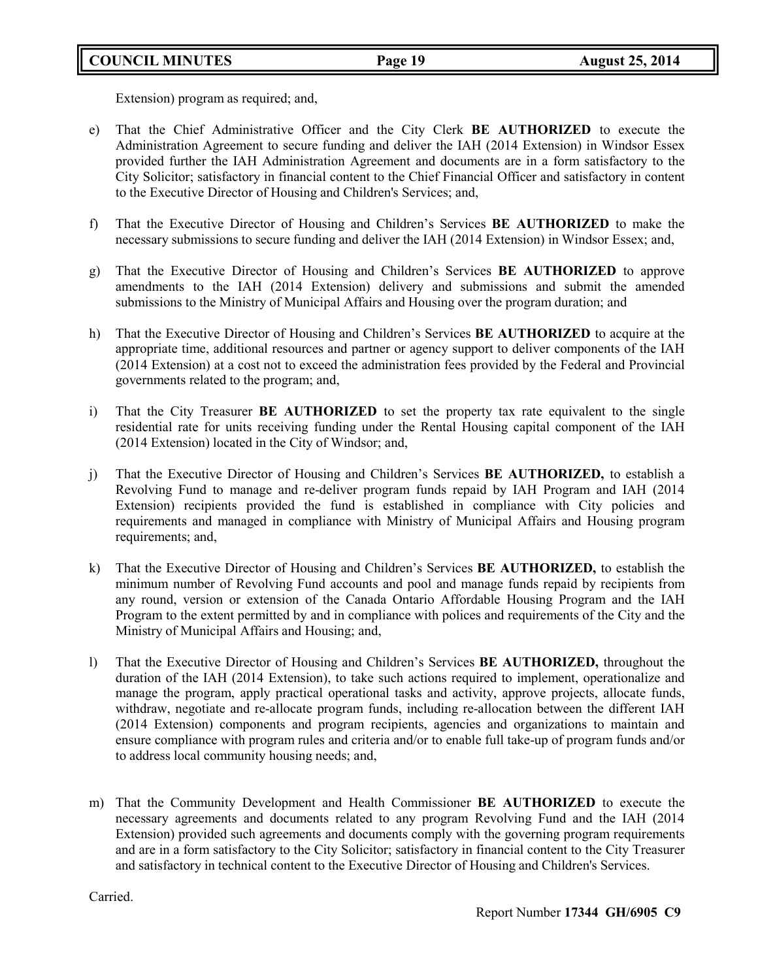Extension) program as required; and,

- e) That the Chief Administrative Officer and the City Clerk **BE AUTHORIZED** to execute the Administration Agreement to secure funding and deliver the IAH (2014 Extension) in Windsor Essex provided further the IAH Administration Agreement and documents are in a form satisfactory to the City Solicitor; satisfactory in financial content to the Chief Financial Officer and satisfactory in content to the Executive Director of Housing and Children's Services; and,
- f) That the Executive Director of Housing and Children's Services **BE AUTHORIZED** to make the necessary submissions to secure funding and deliver the IAH (2014 Extension) in Windsor Essex; and,
- g) That the Executive Director of Housing and Children's Services **BE AUTHORIZED** to approve amendments to the IAH (2014 Extension) delivery and submissions and submit the amended submissions to the Ministry of Municipal Affairs and Housing over the program duration; and
- h) That the Executive Director of Housing and Children's Services **BE AUTHORIZED** to acquire at the appropriate time, additional resources and partner or agency support to deliver components of the IAH (2014 Extension) at a cost not to exceed the administration fees provided by the Federal and Provincial governments related to the program; and,
- i) That the City Treasurer **BE AUTHORIZED** to set the property tax rate equivalent to the single residential rate for units receiving funding under the Rental Housing capital component of the IAH (2014 Extension) located in the City of Windsor; and,
- j) That the Executive Director of Housing and Children's Services **BE AUTHORIZED,** to establish a Revolving Fund to manage and re-deliver program funds repaid by IAH Program and IAH (2014 Extension) recipients provided the fund is established in compliance with City policies and requirements and managed in compliance with Ministry of Municipal Affairs and Housing program requirements; and,
- k) That the Executive Director of Housing and Children's Services **BE AUTHORIZED,** to establish the minimum number of Revolving Fund accounts and pool and manage funds repaid by recipients from any round, version or extension of the Canada Ontario Affordable Housing Program and the IAH Program to the extent permitted by and in compliance with polices and requirements of the City and the Ministry of Municipal Affairs and Housing; and,
- l) That the Executive Director of Housing and Children's Services **BE AUTHORIZED,** throughout the duration of the IAH (2014 Extension), to take such actions required to implement, operationalize and manage the program, apply practical operational tasks and activity, approve projects, allocate funds, withdraw, negotiate and re-allocate program funds, including re-allocation between the different IAH (2014 Extension) components and program recipients, agencies and organizations to maintain and ensure compliance with program rules and criteria and/or to enable full take-up of program funds and/or to address local community housing needs; and,
- m) That the Community Development and Health Commissioner **BE AUTHORIZED** to execute the necessary agreements and documents related to any program Revolving Fund and the IAH (2014 Extension) provided such agreements and documents comply with the governing program requirements and are in a form satisfactory to the City Solicitor; satisfactory in financial content to the City Treasurer and satisfactory in technical content to the Executive Director of Housing and Children's Services.

Carried.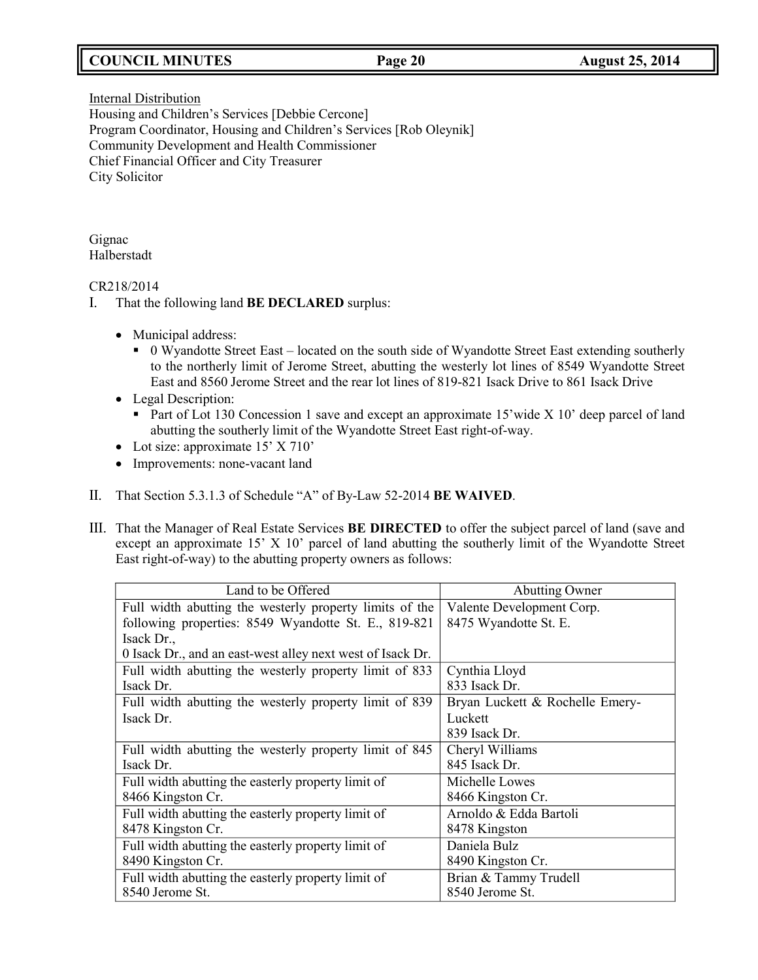## **COUNCIL MINUTES Page 20 August 25, 2014**

**Internal Distribution** Housing and Children's Services [Debbie Cercone] Program Coordinator, Housing and Children's Services [Rob Oleynik] Community Development and Health Commissioner Chief Financial Officer and City Treasurer City Solicitor

Gignac Halberstadt

### CR218/2014

- I. That the following land **BE DECLARED** surplus:
	- Municipal address:
		- 0 Wyandotte Street East located on the south side of Wyandotte Street East extending southerly to the northerly limit of Jerome Street, abutting the westerly lot lines of 8549 Wyandotte Street East and 8560 Jerome Street and the rear lot lines of 819-821 Isack Drive to 861 Isack Drive
	- Legal Description:
		- Part of Lot 130 Concession 1 save and except an approximate 15' wide X 10' deep parcel of land abutting the southerly limit of the Wyandotte Street East right-of-way.
	- Lot size: approximate 15' X 710'
	- Improvements: none-vacant land
- II. That Section 5.3.1.3 of Schedule "A" of By-Law 52-2014 **BE WAIVED**.
- III. That the Manager of Real Estate Services **BE DIRECTED** to offer the subject parcel of land (save and except an approximate 15' X 10' parcel of land abutting the southerly limit of the Wyandotte Street East right-of-way) to the abutting property owners as follows:

| Land to be Offered                                         | <b>Abutting Owner</b>           |
|------------------------------------------------------------|---------------------------------|
| Full width abutting the westerly property limits of the    | Valente Development Corp.       |
| following properties: 8549 Wyandotte St. E., 819-821       | 8475 Wyandotte St. E.           |
| Isack Dr.,                                                 |                                 |
| 0 Isack Dr., and an east-west alley next west of Isack Dr. |                                 |
| Full width abutting the westerly property limit of 833     | Cynthia Lloyd                   |
| Isack Dr.                                                  | 833 Isack Dr.                   |
| Full width abutting the westerly property limit of 839     | Bryan Luckett & Rochelle Emery- |
| Isack Dr.                                                  | Luckett                         |
|                                                            | 839 Isack Dr.                   |
| Full width abutting the westerly property limit of 845     | Cheryl Williams                 |
| Isack Dr.                                                  | 845 Isack Dr.                   |
| Full width abutting the easterly property limit of         | Michelle Lowes                  |
| 8466 Kingston Cr.                                          | 8466 Kingston Cr.               |
| Full width abutting the easterly property limit of         | Arnoldo & Edda Bartoli          |
| 8478 Kingston Cr.                                          | 8478 Kingston                   |
| Full width abutting the easterly property limit of         | Daniela Bulz                    |
| 8490 Kingston Cr.                                          | 8490 Kingston Cr.               |
| Full width abutting the easterly property limit of         | Brian & Tammy Trudell           |
| 8540 Jerome St.                                            | 8540 Jerome St.                 |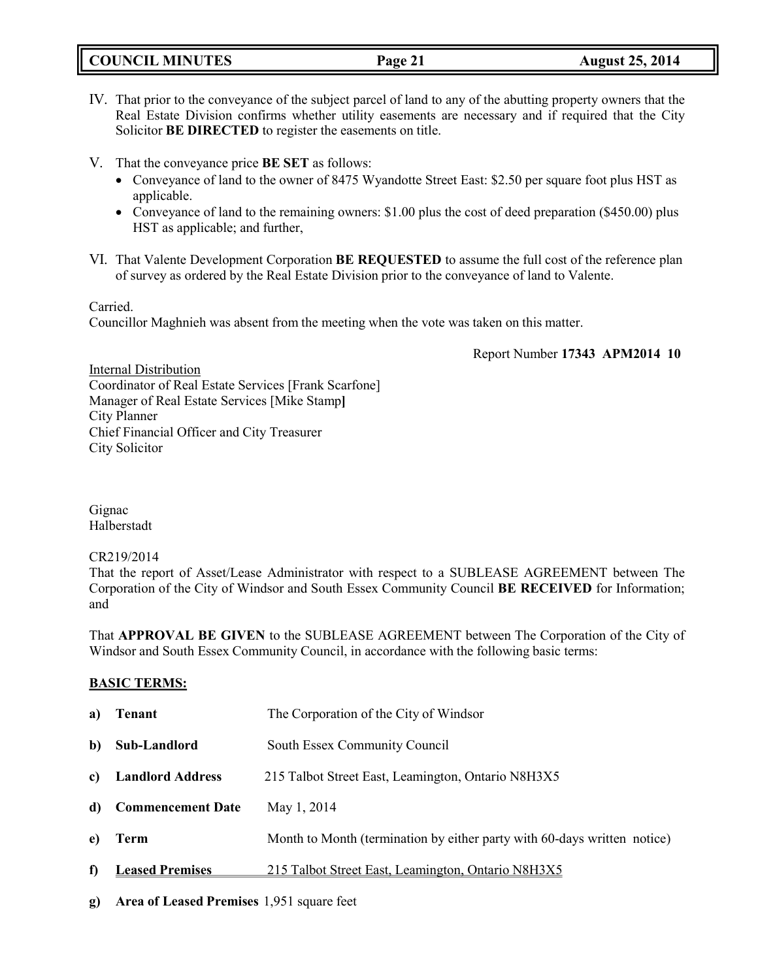|  | <b>COUNCIL MINUTES</b> |
|--|------------------------|
|--|------------------------|

- IV. That prior to the conveyance of the subject parcel of land to any of the abutting property owners that the Real Estate Division confirms whether utility easements are necessary and if required that the City Solicitor **BE DIRECTED** to register the easements on title.
- V. That the conveyance price **BE SET** as follows:
	- Conveyance of land to the owner of 8475 Wyandotte Street East: \$2.50 per square foot plus HST as applicable.
	- Conveyance of land to the remaining owners: \$1.00 plus the cost of deed preparation (\$450.00) plus HST as applicable; and further,
- VI. That Valente Development Corporation **BE REQUESTED** to assume the full cost of the reference plan of survey as ordered by the Real Estate Division prior to the conveyance of land to Valente.

Carried.

Councillor Maghnieh was absent from the meeting when the vote was taken on this matter.

Report Number **17343 APM2014 10**

Internal Distribution Coordinator of Real Estate Services [Frank Scarfone] Manager of Real Estate Services [Mike Stamp**]** City Planner Chief Financial Officer and City Treasurer City Solicitor

Gignac Halberstadt

CR219/2014

That the report of Asset/Lease Administrator with respect to a SUBLEASE AGREEMENT between The Corporation of the City of Windsor and South Essex Community Council **BE RECEIVED** for Information; and

That **APPROVAL BE GIVEN** to the SUBLEASE AGREEMENT between The Corporation of the City of Windsor and South Essex Community Council, in accordance with the following basic terms:

## **BASIC TERMS:**

| a)           | Tenant                   | The Corporation of the City of Windsor                                   |
|--------------|--------------------------|--------------------------------------------------------------------------|
| b)           | Sub-Landlord             | South Essex Community Council                                            |
| $\mathbf{c}$ | <b>Landlord Address</b>  | 215 Talbot Street East, Leamington, Ontario N8H3X5                       |
| d)           | <b>Commencement Date</b> | May 1, 2014                                                              |
| e)           | Term                     | Month to Month (termination by either party with 60-days written notice) |
| f)           | <b>Leased Premises</b>   | 215 Talbot Street East, Leamington, Ontario N8H3X5                       |
|              |                          |                                                                          |

**g) Area of Leased Premises** 1,951 square feet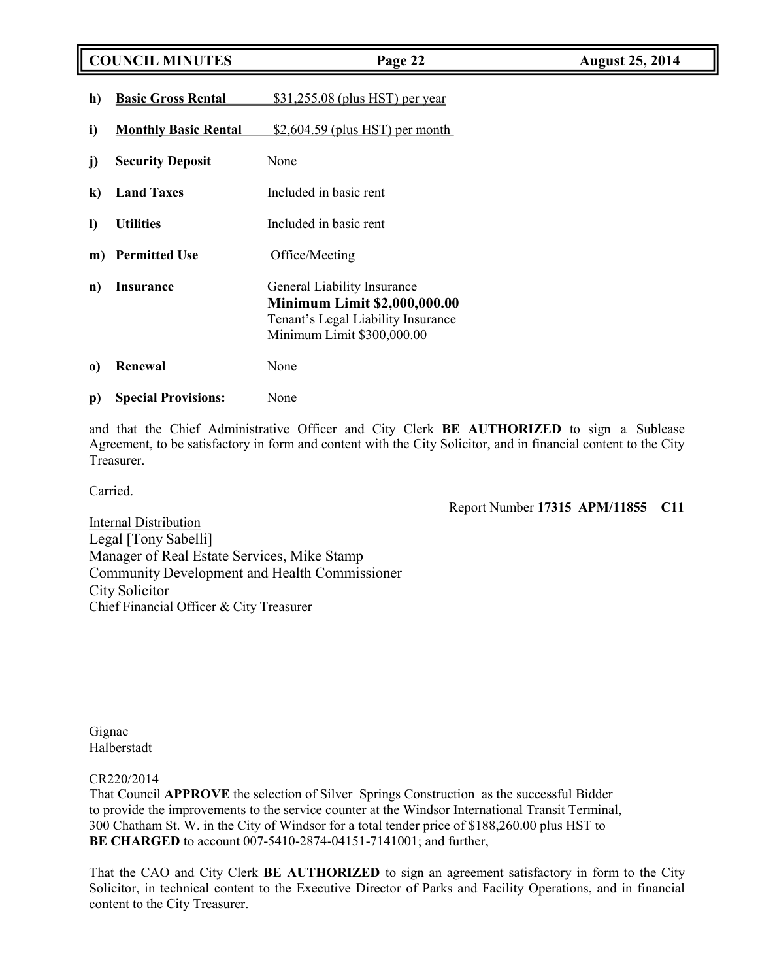## **COUNCIL MINUTES Page 22 August 25, 2014**

- **h) Basic Gross Rental** \$31,255.08 (plus HST) per year
- **i) Monthly Basic Rental** \$2,604.59 (plus HST) per month
- **j) Security Deposit** None
- **k) Land Taxes** Included in basic rent
- **l) Utilities** Included in basic rent
- **m**) **Permitted Use** Office/Meeting
- **n) Insurance** General Liability Insurance **Minimum Limit \$2,000,000.00** Tenant's Legal Liability Insurance Minimum Limit \$300,000.00
- **o) Renewal** None
- **p) Special Provisions:** None

and that the Chief Administrative Officer and City Clerk **BE AUTHORIZED** to sign a Sublease Agreement, to be satisfactory in form and content with the City Solicitor, and in financial content to the City Treasurer.

Carried.

Report Number **17315 APM/11855 C11**

**Internal Distribution** Legal [Tony Sabelli] Manager of Real Estate Services, Mike Stamp Community Development and Health Commissioner City Solicitor Chief Financial Officer & City Treasurer

Gignac Halberstadt

### CR220/2014

That Council **APPROVE** the selection of Silver Springs Construction as the successful Bidder to provide the improvements to the service counter at the Windsor International Transit Terminal, 300 Chatham St. W. in the City of Windsor for a total tender price of \$188,260.00 plus HST to **BE CHARGED** to account 007-5410-2874-04151-7141001; and further,

That the CAO and City Clerk **BE AUTHORIZED** to sign an agreement satisfactory in form to the City Solicitor, in technical content to the Executive Director of Parks and Facility Operations, and in financial content to the City Treasurer.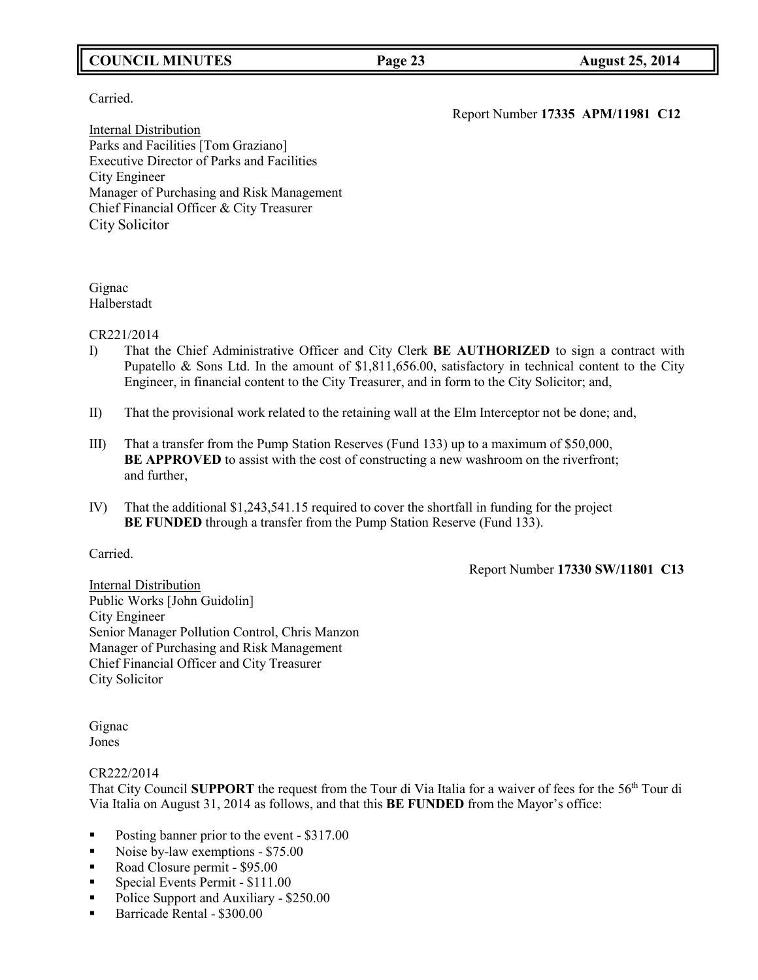## **COUNCIL MINUTES Page 23 August 25, 2014**

## Carried.

Report Number **17335 APM/11981 C12**

Internal Distribution Parks and Facilities [Tom Graziano] Executive Director of Parks and Facilities City Engineer Manager of Purchasing and Risk Management Chief Financial Officer & City Treasurer City Solicitor

## Gignac Halberstadt

### CR221/2014

- I) That the Chief Administrative Officer and City Clerk **BE AUTHORIZED** to sign a contract with Pupatello & Sons Ltd. In the amount of \$1,811,656.00, satisfactory in technical content to the City Engineer, in financial content to the City Treasurer, and in form to the City Solicitor; and,
- II) That the provisional work related to the retaining wall at the Elm Interceptor not be done; and,
- III) That a transfer from the Pump Station Reserves (Fund 133) up to a maximum of \$50,000, **BE APPROVED** to assist with the cost of constructing a new washroom on the riverfront; and further,
- IV) That the additional \$1,243,541.15 required to cover the shortfall in funding for the project **BE FUNDED** through a transfer from the Pump Station Reserve (Fund 133).

## Carried.

Report Number **17330 SW/11801 C13**

Internal Distribution Public Works [John Guidolin] City Engineer Senior Manager Pollution Control, Chris Manzon Manager of Purchasing and Risk Management Chief Financial Officer and City Treasurer City Solicitor

Gignac Jones

## CR222/2014

That City Council **SUPPORT** the request from the Tour di Via Italia for a waiver of fees for the 56th Tour di Via Italia on August 31, 2014 as follows, and that this **BE FUNDED** from the Mayor's office:

- Posting banner prior to the event \$317.00
- Noise by-law exemptions \$75.00
- Road Closure permit \$95.00
- Special Events Permit \$111.00
- Police Support and Auxiliary \$250.00
- Barricade Rental \$300.00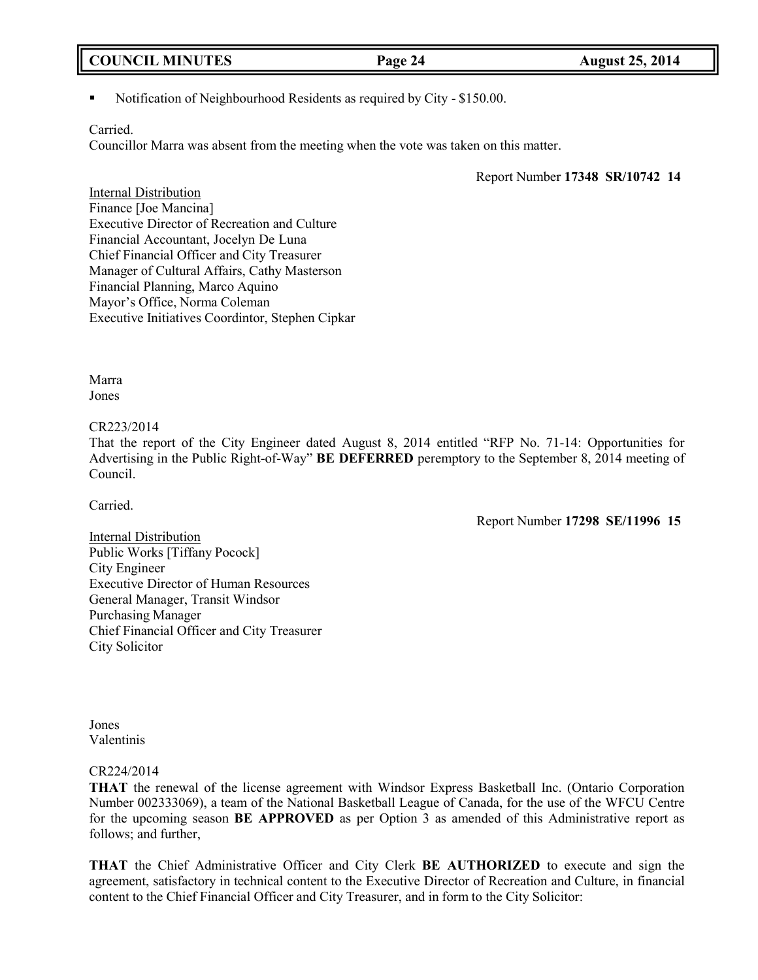## **COUNCIL MINUTES Page 24 August 25, 2014**

Notification of Neighbourhood Residents as required by City - \$150.00.

### Carried.

Councillor Marra was absent from the meeting when the vote was taken on this matter.

Report Number **17348 SR/10742 14**

Internal Distribution Finance [Joe Mancina] Executive Director of Recreation and Culture Financial Accountant, Jocelyn De Luna Chief Financial Officer and City Treasurer Manager of Cultural Affairs, Cathy Masterson Financial Planning, Marco Aquino Mayor's Office, Norma Coleman Executive Initiatives Coordintor, Stephen Cipkar

Marra Jones

### CR223/2014

That the report of the City Engineer dated August 8, 2014 entitled "RFP No. 71-14: Opportunities for Advertising in the Public Right-of-Way" **BE DEFERRED** peremptory to the September 8, 2014 meeting of Council.

Carried.

Report Number **17298 SE/11996 15**

Internal Distribution Public Works [Tiffany Pocock] City Engineer Executive Director of Human Resources General Manager, Transit Windsor Purchasing Manager Chief Financial Officer and City Treasurer City Solicitor

Jones Valentinis

## CR224/2014

**THAT** the renewal of the license agreement with Windsor Express Basketball Inc. (Ontario Corporation Number 002333069), a team of the National Basketball League of Canada, for the use of the WFCU Centre for the upcoming season **BE APPROVED** as per Option 3 as amended of this Administrative report as follows; and further,

**THAT** the Chief Administrative Officer and City Clerk **BE AUTHORIZED** to execute and sign the agreement, satisfactory in technical content to the Executive Director of Recreation and Culture, in financial content to the Chief Financial Officer and City Treasurer, and in form to the City Solicitor: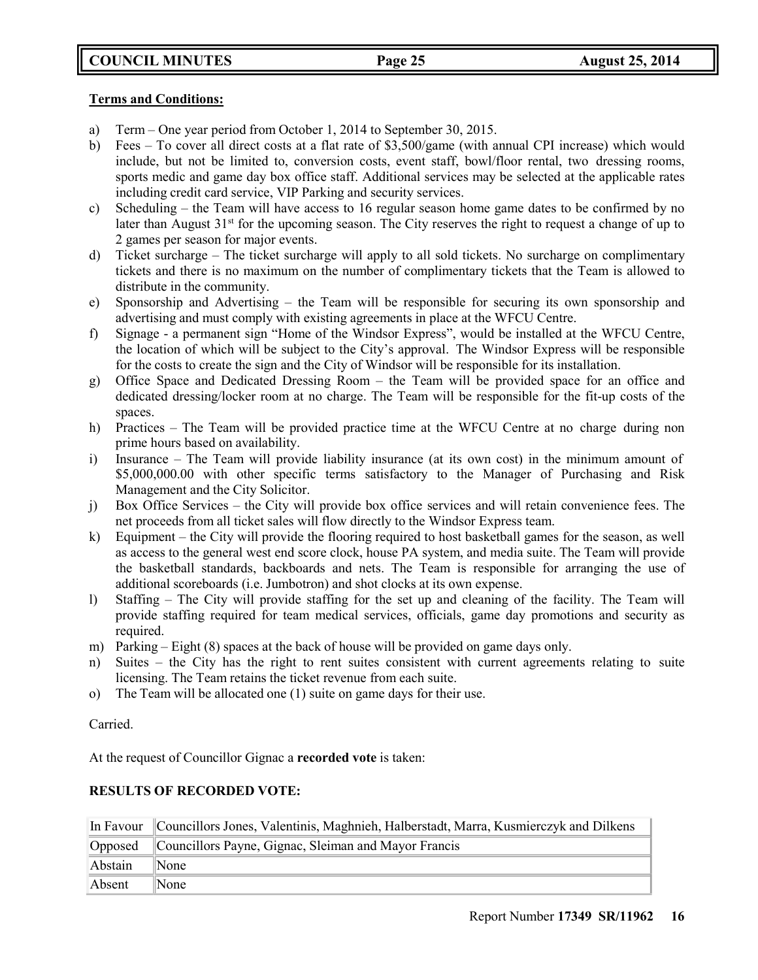## **Terms and Conditions:**

- a) Term One year period from October 1, 2014 to September 30, 2015.
- b) Fees To cover all direct costs at a flat rate of \$3,500/game (with annual CPI increase) which would include, but not be limited to, conversion costs, event staff, bowl/floor rental, two dressing rooms, sports medic and game day box office staff. Additional services may be selected at the applicable rates including credit card service, VIP Parking and security services.
- c) Scheduling the Team will have access to 16 regular season home game dates to be confirmed by no later than August 31<sup>st</sup> for the upcoming season. The City reserves the right to request a change of up to 2 games per season for major events.
- d) Ticket surcharge The ticket surcharge will apply to all sold tickets. No surcharge on complimentary tickets and there is no maximum on the number of complimentary tickets that the Team is allowed to distribute in the community.
- e) Sponsorship and Advertising the Team will be responsible for securing its own sponsorship and advertising and must comply with existing agreements in place at the WFCU Centre.
- f) Signage a permanent sign "Home of the Windsor Express", would be installed at the WFCU Centre, the location of which will be subject to the City's approval. The Windsor Express will be responsible for the costs to create the sign and the City of Windsor will be responsible for its installation.
- g) Office Space and Dedicated Dressing Room the Team will be provided space for an office and dedicated dressing/locker room at no charge. The Team will be responsible for the fit-up costs of the spaces.
- h) Practices The Team will be provided practice time at the WFCU Centre at no charge during non prime hours based on availability.
- i) Insurance The Team will provide liability insurance (at its own cost) in the minimum amount of \$5,000,000.00 with other specific terms satisfactory to the Manager of Purchasing and Risk Management and the City Solicitor.
- j) Box Office Services the City will provide box office services and will retain convenience fees. The net proceeds from all ticket sales will flow directly to the Windsor Express team.
- k) Equipment the City will provide the flooring required to host basketball games for the season, as well as access to the general west end score clock, house PA system, and media suite. The Team will provide the basketball standards, backboards and nets. The Team is responsible for arranging the use of additional scoreboards (i.e. Jumbotron) and shot clocks at its own expense.
- l) Staffing The City will provide staffing for the set up and cleaning of the facility. The Team will provide staffing required for team medical services, officials, game day promotions and security as required.
- m) Parking Eight (8) spaces at the back of house will be provided on game days only.
- n) Suites the City has the right to rent suites consistent with current agreements relating to suite licensing. The Team retains the ticket revenue from each suite.
- o) The Team will be allocated one (1) suite on game days for their use.

Carried.

At the request of Councillor Gignac a **recorded vote** is taken:

## **RESULTS OF RECORDED VOTE:**

|         | In Favour Councillors Jones, Valentinis, Maghnieh, Halberstadt, Marra, Kusmierczyk and Dilkens |
|---------|------------------------------------------------------------------------------------------------|
|         | Opposed Councillors Payne, Gignac, Sleiman and Mayor Francis                                   |
| Abstain | $\mathbb{N}$ one                                                                               |
| Absent  | $\mathbb{N}$ one                                                                               |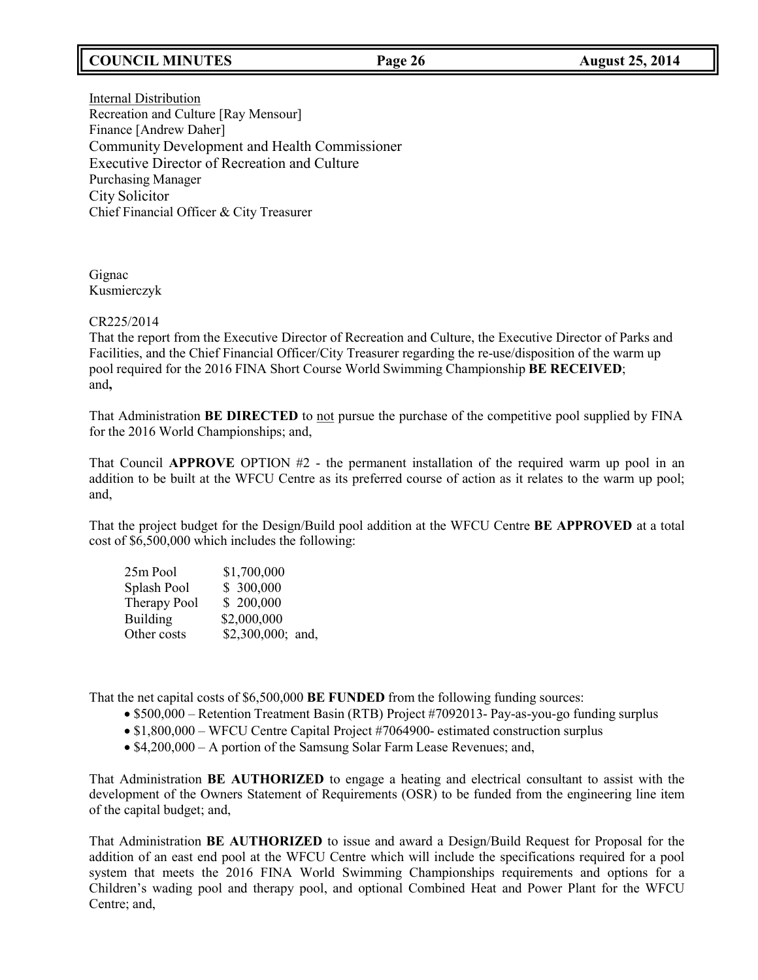## **COUNCIL MINUTES Page 26 August 25, 2014**

Internal Distribution Recreation and Culture [Ray Mensour] Finance [Andrew Daher] Community Development and Health Commissioner Executive Director of Recreation and Culture Purchasing Manager City Solicitor Chief Financial Officer & City Treasurer

Gignac Kusmierczyk

## CR225/2014

That the report from the Executive Director of Recreation and Culture, the Executive Director of Parks and Facilities, and the Chief Financial Officer/City Treasurer regarding the re-use/disposition of the warm up pool required for the 2016 FINA Short Course World Swimming Championship **BE RECEIVED**; and**,**

That Administration **BE DIRECTED** to not pursue the purchase of the competitive pool supplied by FINA for the 2016 World Championships; and,

That Council **APPROVE** OPTION #2 - the permanent installation of the required warm up pool in an addition to be built at the WFCU Centre as its preferred course of action as it relates to the warm up pool; and,

That the project budget for the Design/Build pool addition at the WFCU Centre **BE APPROVED** at a total cost of \$6,500,000 which includes the following:

| \$1,700,000 |                   |
|-------------|-------------------|
| \$ 300,000  |                   |
| \$200,000   |                   |
| \$2,000,000 |                   |
|             |                   |
|             | \$2,300,000; and, |

That the net capital costs of \$6,500,000 **BE FUNDED** from the following funding sources:

- \$500,000 Retention Treatment Basin (RTB) Project #7092013- Pay-as-you-go funding surplus
- \$1,800,000 WFCU Centre Capital Project #7064900- estimated construction surplus
- \$4,200,000 A portion of the Samsung Solar Farm Lease Revenues; and,

That Administration **BE AUTHORIZED** to engage a heating and electrical consultant to assist with the development of the Owners Statement of Requirements (OSR) to be funded from the engineering line item of the capital budget; and,

That Administration **BE AUTHORIZED** to issue and award a Design/Build Request for Proposal for the addition of an east end pool at the WFCU Centre which will include the specifications required for a pool system that meets the 2016 FINA World Swimming Championships requirements and options for a Children's wading pool and therapy pool, and optional Combined Heat and Power Plant for the WFCU Centre; and,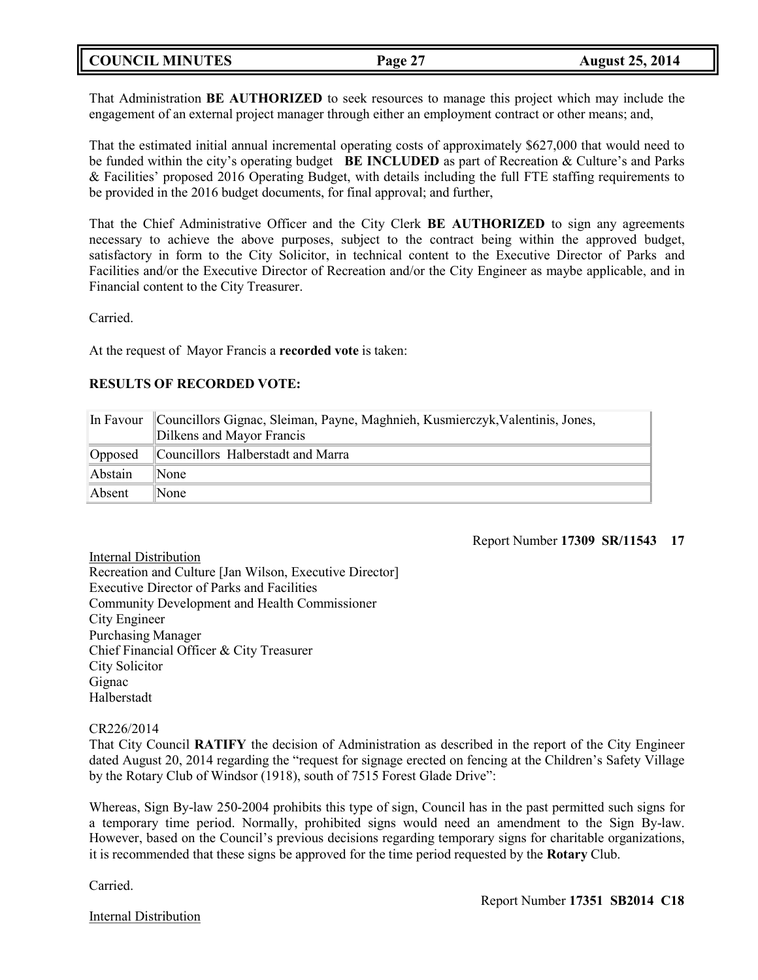## **COUNCIL MINUTES Page 27 August 25, 2014**

That Administration **BE AUTHORIZED** to seek resources to manage this project which may include the engagement of an external project manager through either an employment contract or other means; and,

That the estimated initial annual incremental operating costs of approximately \$627,000 that would need to be funded within the city's operating budget **BE INCLUDED** as part of Recreation & Culture's and Parks & Facilities' proposed 2016 Operating Budget, with details including the full FTE staffing requirements to be provided in the 2016 budget documents, for final approval; and further,

That the Chief Administrative Officer and the City Clerk **BE AUTHORIZED** to sign any agreements necessary to achieve the above purposes, subject to the contract being within the approved budget, satisfactory in form to the City Solicitor, in technical content to the Executive Director of Parks and Facilities and/or the Executive Director of Recreation and/or the City Engineer as maybe applicable, and in Financial content to the City Treasurer.

Carried.

At the request of Mayor Francis a **recorded vote** is taken:

## **RESULTS OF RECORDED VOTE:**

| In Favour | Councillors Gignac, Sleiman, Payne, Maghnieh, Kusmierczyk, Valentinis, Jones,<br>Dilkens and Mayor Francis |
|-----------|------------------------------------------------------------------------------------------------------------|
| Opposed   | Councillors Halberstadt and Marra                                                                          |
| Abstain   | None                                                                                                       |
| Absent    | <b>None</b>                                                                                                |

## Report Number **17309 SR/11543 17**

Internal Distribution Recreation and Culture [Jan Wilson, Executive Director] Executive Director of Parks and Facilities Community Development and Health Commissioner City Engineer Purchasing Manager Chief Financial Officer & City Treasurer City Solicitor Gignac Halberstadt

### CR226/2014

That City Council **RATIFY** the decision of Administration as described in the report of the City Engineer dated August 20, 2014 regarding the "request for signage erected on fencing at the Children's Safety Village by the Rotary Club of Windsor (1918), south of 7515 Forest Glade Drive":

Whereas, Sign By-law 250-2004 prohibits this type of sign, Council has in the past permitted such signs for a temporary time period. Normally, prohibited signs would need an amendment to the Sign By-law. However, based on the Council's previous decisions regarding temporary signs for charitable organizations, it is recommended that these signs be approved for the time period requested by the **Rotary** Club.

Carried.

Internal Distribution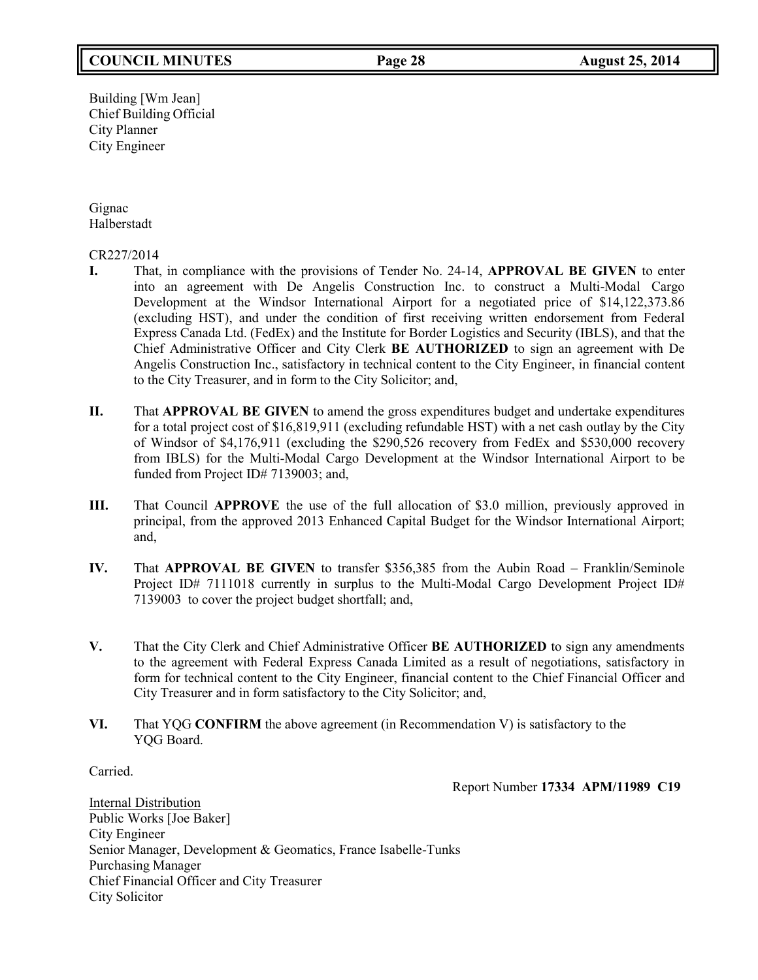## **COUNCIL MINUTES Page 28 August 25, 2014**

Building [Wm Jean] Chief Building Official City Planner City Engineer

Gignac Halberstadt

### CR227/2014

- **I.** That, in compliance with the provisions of Tender No. 24-14, **APPROVAL BE GIVEN** to enter into an agreement with De Angelis Construction Inc. to construct a Multi-Modal Cargo Development at the Windsor International Airport for a negotiated price of \$14,122,373.86 (excluding HST), and under the condition of first receiving written endorsement from Federal Express Canada Ltd. (FedEx) and the Institute for Border Logistics and Security (IBLS), and that the Chief Administrative Officer and City Clerk **BE AUTHORIZED** to sign an agreement with De Angelis Construction Inc., satisfactory in technical content to the City Engineer, in financial content to the City Treasurer, and in form to the City Solicitor; and,
- **II.** That **APPROVAL BE GIVEN** to amend the gross expenditures budget and undertake expenditures for a total project cost of \$16,819,911 (excluding refundable HST) with a net cash outlay by the City of Windsor of \$4,176,911 (excluding the \$290,526 recovery from FedEx and \$530,000 recovery from IBLS) for the Multi-Modal Cargo Development at the Windsor International Airport to be funded from Project ID# 7139003; and,
- **III.** That Council **APPROVE** the use of the full allocation of \$3.0 million, previously approved in principal, from the approved 2013 Enhanced Capital Budget for the Windsor International Airport; and,
- **IV.** That **APPROVAL BE GIVEN** to transfer \$356,385 from the Aubin Road Franklin/Seminole Project ID# 7111018 currently in surplus to the Multi-Modal Cargo Development Project ID# 7139003 to cover the project budget shortfall; and,
- **V.** That the City Clerk and Chief Administrative Officer **BE AUTHORIZED** to sign any amendments to the agreement with Federal Express Canada Limited as a result of negotiations, satisfactory in form for technical content to the City Engineer, financial content to the Chief Financial Officer and City Treasurer and in form satisfactory to the City Solicitor; and,
- **VI.** That YQG **CONFIRM** the above agreement (in Recommendation V) is satisfactory to the YQG Board.

Carried.

Report Number **17334 APM/11989 C19**

Internal Distribution Public Works [Joe Baker] City Engineer Senior Manager, Development & Geomatics, France Isabelle-Tunks Purchasing Manager Chief Financial Officer and City Treasurer City Solicitor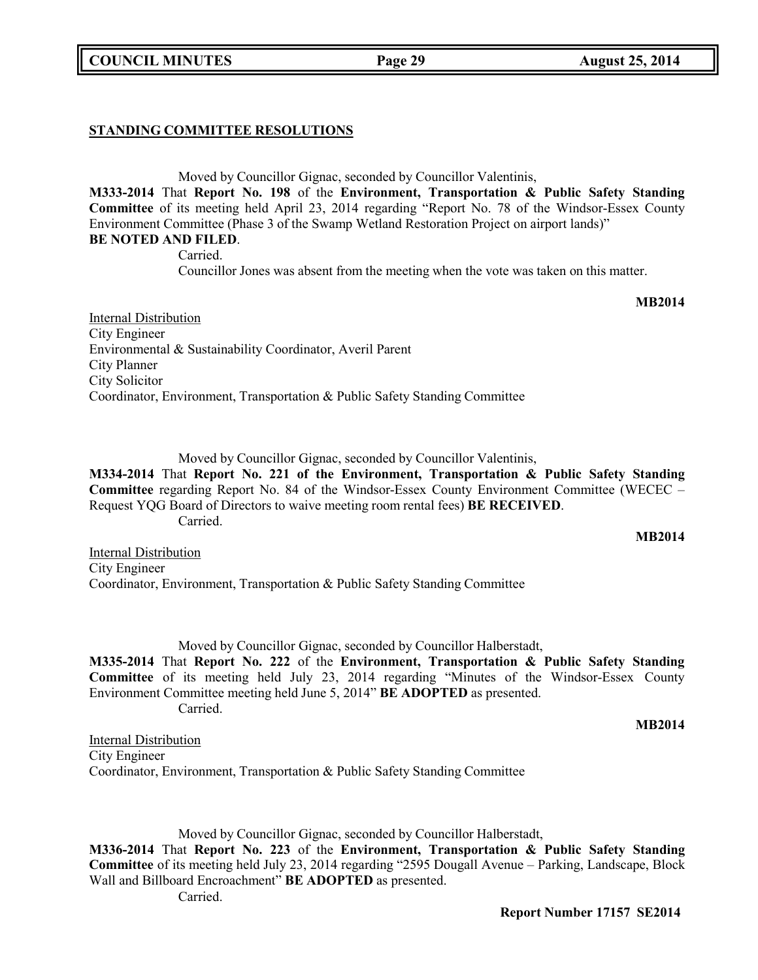**COUNCIL MINUTES Page 29 August 25, 2014**

## **STANDING COMMITTEE RESOLUTIONS**

Moved by Councillor Gignac, seconded by Councillor Valentinis, **M333-2014** That **Report No. 198** of the **Environment, Transportation & Public Safety Standing Committee** of its meeting held April 23, 2014 regarding "Report No. 78 of the Windsor-Essex County Environment Committee (Phase 3 of the Swamp Wetland Restoration Project on airport lands)" **BE NOTED AND FILED**.

Carried. Councillor Jones was absent from the meeting when the vote was taken on this matter.

Internal Distribution City Engineer Environmental & Sustainability Coordinator, Averil Parent City Planner City Solicitor Coordinator, Environment, Transportation & Public Safety Standing Committee

Moved by Councillor Gignac, seconded by Councillor Valentinis, **M334-2014** That **Report No. 221 of the Environment, Transportation & Public Safety Standing Committee** regarding Report No. 84 of the Windsor-Essex County Environment Committee (WECEC – Request YQG Board of Directors to waive meeting room rental fees) **BE RECEIVED**.

Carried.

Internal Distribution City Engineer Coordinator, Environment, Transportation & Public Safety Standing Committee

Moved by Councillor Gignac, seconded by Councillor Halberstadt, **M335-2014** That **Report No. 222** of the **Environment, Transportation & Public Safety Standing Committee** of its meeting held July 23, 2014 regarding "Minutes of the Windsor-Essex County Environment Committee meeting held June 5, 2014" **BE ADOPTED** as presented. Carried.

Internal Distribution City Engineer Coordinator, Environment, Transportation & Public Safety Standing Committee

Moved by Councillor Gignac, seconded by Councillor Halberstadt, **M336-2014** That **Report No. 223** of the **Environment, Transportation & Public Safety Standing Committee** of its meeting held July 23, 2014 regarding "2595 Dougall Avenue – Parking, Landscape, Block Wall and Billboard Encroachment" **BE ADOPTED** as presented. Carried.

# **MB2014**

## **MB2014**

**Report Number 17157 SE2014**

# **MB2014**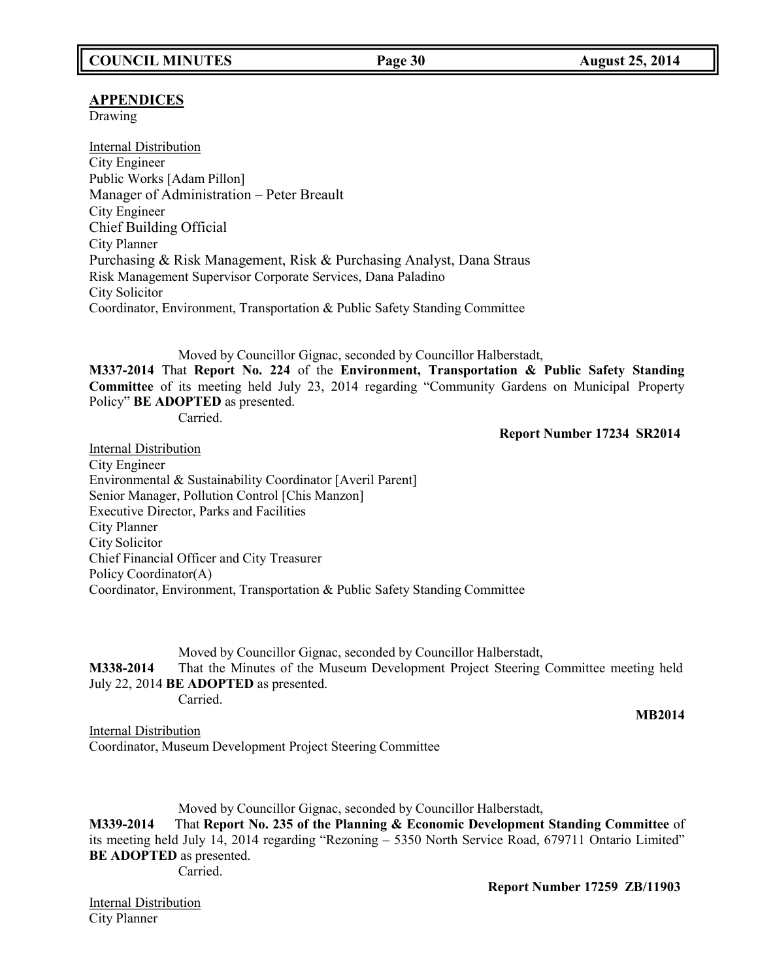## **APPENDICES**

Drawing

Internal Distribution City Engineer Public Works [Adam Pillon] Manager of Administration – Peter Breault City Engineer Chief Building Official City Planner Purchasing & Risk Management, Risk & Purchasing Analyst, Dana Straus Risk Management Supervisor Corporate Services, Dana Paladino City Solicitor Coordinator, Environment, Transportation & Public Safety Standing Committee

Moved by Councillor Gignac, seconded by Councillor Halberstadt,

**M337-2014** That **Report No. 224** of the **Environment, Transportation & Public Safety Standing Committee** of its meeting held July 23, 2014 regarding "Community Gardens on Municipal Property Policy" **BE ADOPTED** as presented.

Carried.

### **Report Number 17234 SR2014**

Internal Distribution City Engineer Environmental & Sustainability Coordinator [Averil Parent] Senior Manager, Pollution Control [Chis Manzon] Executive Director, Parks and Facilities City Planner City Solicitor Chief Financial Officer and City Treasurer Policy Coordinator(A) Coordinator, Environment, Transportation & Public Safety Standing Committee

Moved by Councillor Gignac, seconded by Councillor Halberstadt, **M338-2014** That the Minutes of the Museum Development Project Steering Committee meeting held July 22, 2014 **BE ADOPTED** as presented. Carried.

**MB2014**

Internal Distribution Coordinator, Museum Development Project Steering Committee

Moved by Councillor Gignac, seconded by Councillor Halberstadt, **M339-2014** That **Report No. 235 of the Planning & Economic Development Standing Committee** of its meeting held July 14, 2014 regarding "Rezoning – 5350 North Service Road, 679711 Ontario Limited" **BE ADOPTED** as presented. Carried.

**Report Number 17259 ZB/11903**

Internal Distribution City Planner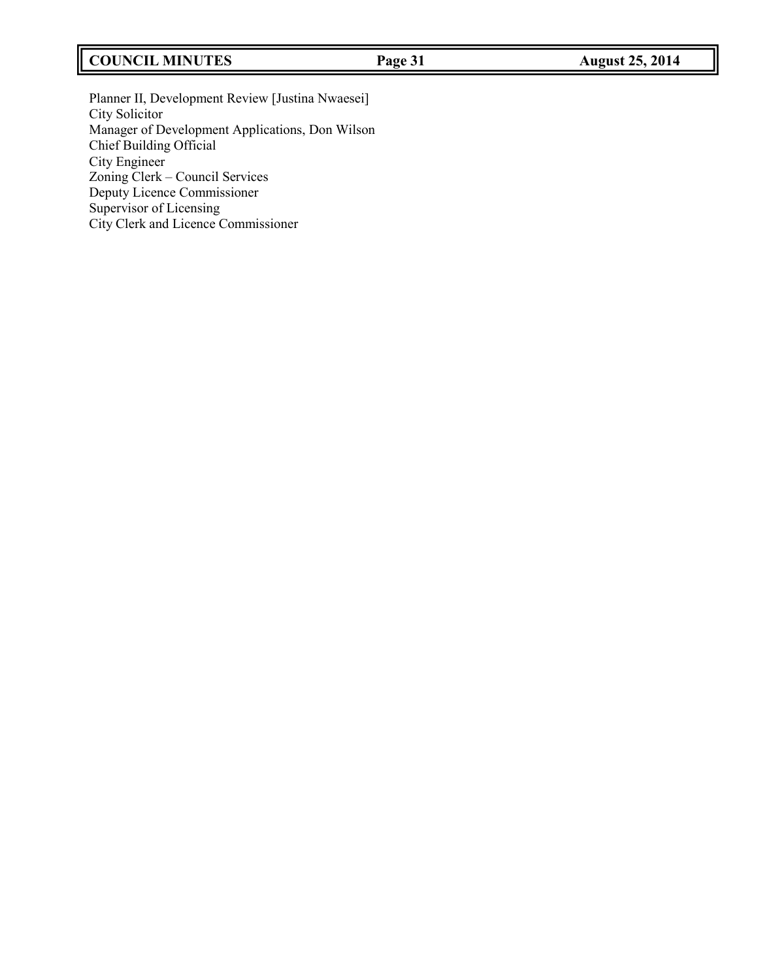## **COUNCIL MINUTES Page 31 August 25, 2014**

Planner II, Development Review [Justina Nwaesei] City Solicitor Manager of Development Applications, Don Wilson Chief Building Official City Engineer Zoning Clerk – Council Services Deputy Licence Commissioner Supervisor of Licensing City Clerk and Licence Commissioner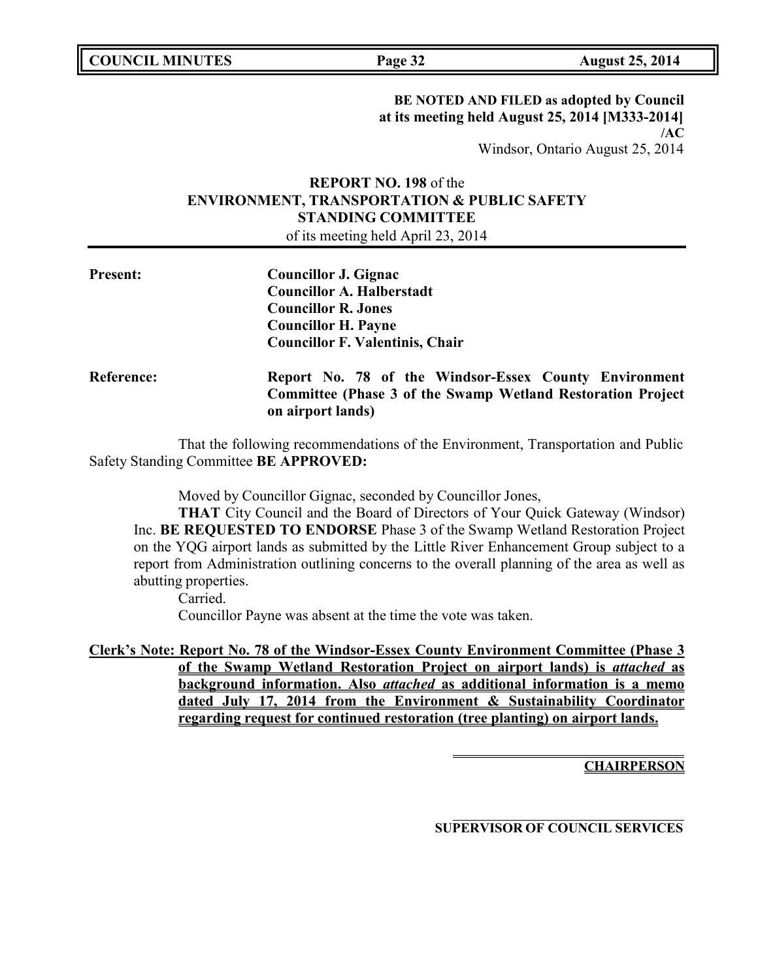**COUNCIL MINUTES Page 32 August 25, 2014**

## **BE NOTED AND FILED as adopted by Council at its meeting held August 25, 2014 [M333-2014] /AC**

Windsor, Ontario August 25, 2014

## **REPORT NO. 198** of the **ENVIRONMENT, TRANSPORTATION & PUBLIC SAFETY STANDING COMMITTEE** of its meeting held April 23, 2014

| <b>Present:</b>   | <b>Councillor J. Gignac</b><br><b>Councillor A. Halberstadt</b><br><b>Councillor R. Jones</b><br><b>Councillor H. Payne</b><br><b>Councillor F. Valentinis, Chair</b> |
|-------------------|-----------------------------------------------------------------------------------------------------------------------------------------------------------------------|
| <b>Reference:</b> | Report No. 78 of the Windsor-Essex County Environment<br>Committee (Phase 3 of the Swamp Wetland Restoration Project)<br>on airport lands)                            |

That the following recommendations of the Environment, Transportation and Public Safety Standing Committee **BE APPROVED:**

Moved by Councillor Gignac, seconded by Councillor Jones,

**THAT** City Council and the Board of Directors of Your Quick Gateway (Windsor) Inc. **BE REQUESTED TO ENDORSE** Phase 3 of the Swamp Wetland Restoration Project on the YQG airport lands as submitted by the Little River Enhancement Group subject to a report from Administration outlining concerns to the overall planning of the area as well as abutting properties.

Carried.

Councillor Payne was absent at the time the vote was taken.

**Clerk's Note: Report No. 78 of the Windsor-Essex County Environment Committee (Phase 3 of the Swamp Wetland Restoration Project on airport lands) is** *attached* **as background information. Also** *attached* **as additional information is a memo dated July 17, 2014 from the Environment & Sustainability Coordinator regarding request for continued restoration (tree planting) on airport lands.**

**CHAIRPERSON**

**SUPERVISOR OF COUNCIL SERVICES**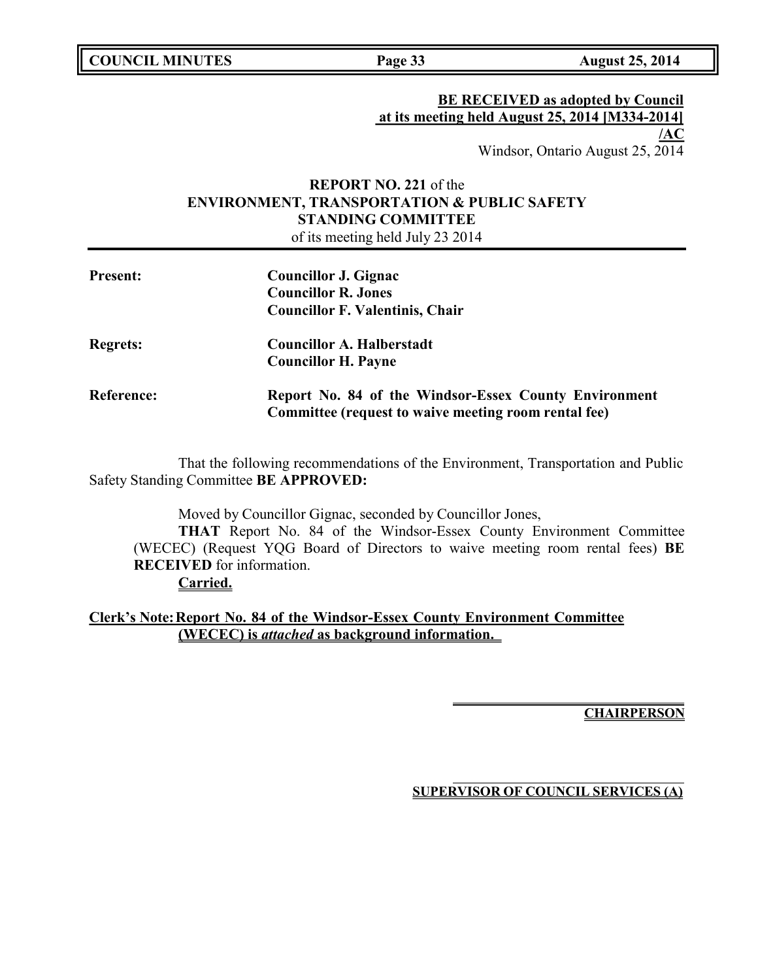**COUNCIL MINUTES Page 33 August 25, 2014**

## **BE RECEIVED as adopted by Council at its meeting held August 25, 2014 [M334-2014] /AC**

Windsor, Ontario August 25, 2014

## **REPORT NO. 221** of the **ENVIRONMENT, TRANSPORTATION & PUBLIC SAFETY STANDING COMMITTEE** of its meeting held July 23 2014

| <b>Present:</b> | Councillor J. Gignac<br><b>Councillor R. Jones</b><br><b>Councillor F. Valentinis, Chair</b>                  |
|-----------------|---------------------------------------------------------------------------------------------------------------|
| <b>Regrets:</b> | <b>Councillor A. Halberstadt</b><br><b>Councillor H. Payne</b>                                                |
| Reference:      | Report No. 84 of the Windsor-Essex County Environment<br>Committee (request to waive meeting room rental fee) |

That the following recommendations of the Environment, Transportation and Public Safety Standing Committee **BE APPROVED:**

Moved by Councillor Gignac, seconded by Councillor Jones,

**THAT** Report No. 84 of the Windsor-Essex County Environment Committee (WECEC) (Request YQG Board of Directors to waive meeting room rental fees) **BE RECEIVED** for information.

**Carried.**

**Clerk's Note:Report No. 84 of the Windsor-Essex County Environment Committee (WECEC) is** *attached* **as background information.** 

**CHAIRPERSON**

**SUPERVISOR OF COUNCIL SERVICES (A)**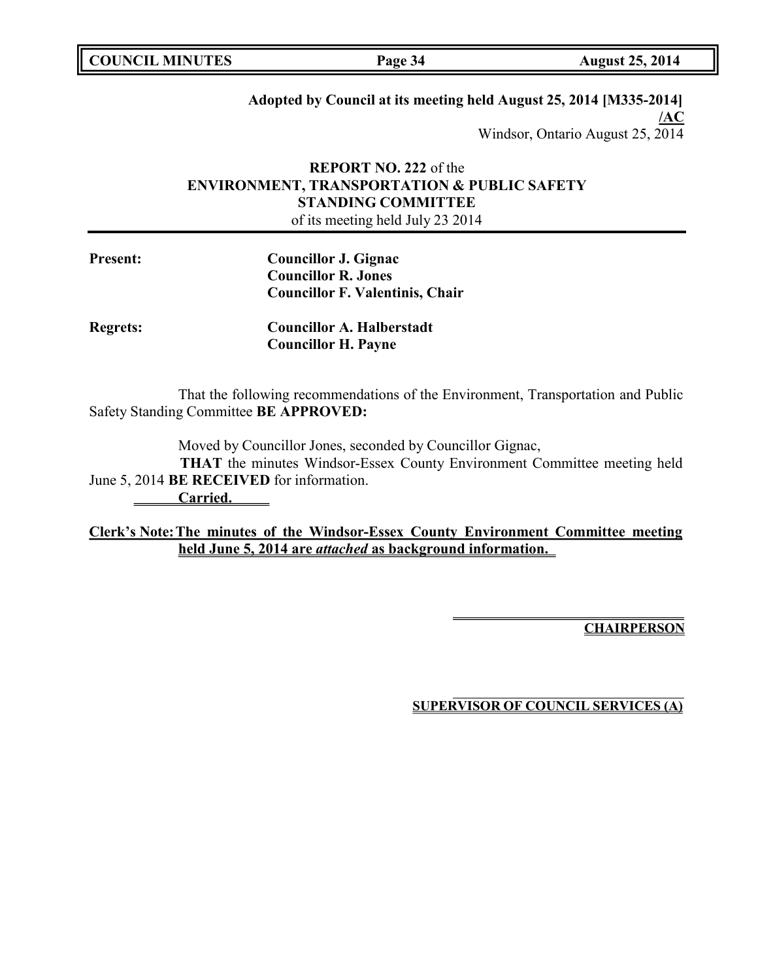**Page 34 August 25, 2014** 

## **Adopted by Council at its meeting held August 25, 2014 [M335-2014]**

**/AC** Windsor, Ontario August 25, 2014

## **REPORT NO. 222** of the **ENVIRONMENT, TRANSPORTATION & PUBLIC SAFETY STANDING COMMITTEE**

of its meeting held July 23 2014

| <b>Present:</b> | Councillor J. Gignac                   |
|-----------------|----------------------------------------|
|                 | <b>Councillor R. Jones</b>             |
|                 | <b>Councillor F. Valentinis, Chair</b> |
| <b>Regrets:</b> | <b>Councillor A. Halberstadt</b>       |

That the following recommendations of the Environment, Transportation and Public Safety Standing Committee **BE APPROVED:**

Moved by Councillor Jones, seconded by Councillor Gignac,

**Councillor H. Payne**

**THAT** the minutes Windsor-Essex County Environment Committee meeting held June 5, 2014 **BE RECEIVED** for information.

**Carried.**

**Clerk's Note:The minutes of the Windsor-Essex County Environment Committee meeting held June 5, 2014 are** *attached* **as background information.** 

**CHAIRPERSON**

**SUPERVISOR OF COUNCIL SERVICES (A)**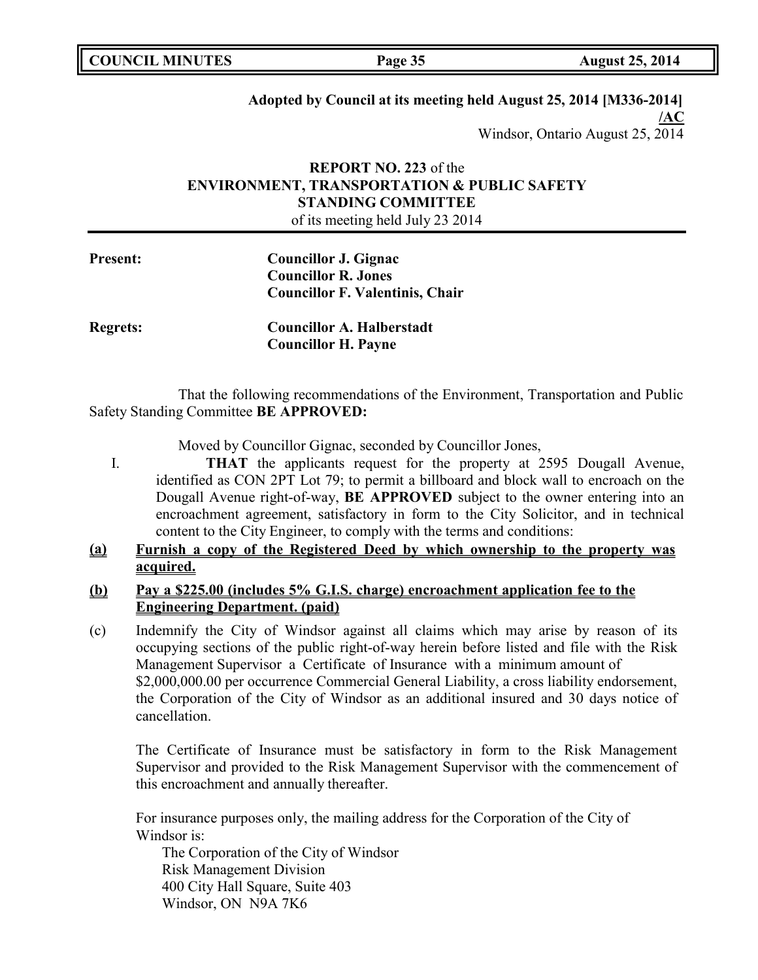**Page 35 August 25, 2014** 

## **Adopted by Council at its meeting held August 25, 2014 [M336-2014]**

**/AC** Windsor, Ontario August 25, 2014

## **REPORT NO. 223** of the **ENVIRONMENT, TRANSPORTATION & PUBLIC SAFETY STANDING COMMITTEE**

of its meeting held July 23 2014

| <b>Present:</b> | Councillor J. Gignac                   |
|-----------------|----------------------------------------|
|                 | <b>Councillor R. Jones</b>             |
|                 | <b>Councillor F. Valentinis, Chair</b> |
| <b>Regrets:</b> | <b>Councillor A. Halberstadt</b>       |

That the following recommendations of the Environment, Transportation and Public Safety Standing Committee **BE APPROVED:**

Moved by Councillor Gignac, seconded by Councillor Jones,

**Councillor H. Payne**

I. **THAT** the applicants request for the property at 2595 Dougall Avenue, identified as CON 2PT Lot 79; to permit a billboard and block wall to encroach on the Dougall Avenue right-of-way, **BE APPROVED** subject to the owner entering into an encroachment agreement, satisfactory in form to the City Solicitor, and in technical content to the City Engineer, to comply with the terms and conditions:

## **(a) Furnish a copy of the Registered Deed by which ownership to the property was acquired.**

## **(b) Pay a \$225.00 (includes 5% G.I.S. charge) encroachment application fee to the Engineering Department. (paid)**

(c) Indemnify the City of Windsor against all claims which may arise by reason of its occupying sections of the public right-of-way herein before listed and file with the Risk Management Supervisor a Certificate of Insurance with a minimum amount of \$2,000,000.00 per occurrence Commercial General Liability, a cross liability endorsement, the Corporation of the City of Windsor as an additional insured and 30 days notice of cancellation.

The Certificate of Insurance must be satisfactory in form to the Risk Management Supervisor and provided to the Risk Management Supervisor with the commencement of this encroachment and annually thereafter.

For insurance purposes only, the mailing address for the Corporation of the City of Windsor is:

The Corporation of the City of Windsor Risk Management Division 400 City Hall Square, Suite 403 Windsor, ON N9A 7K6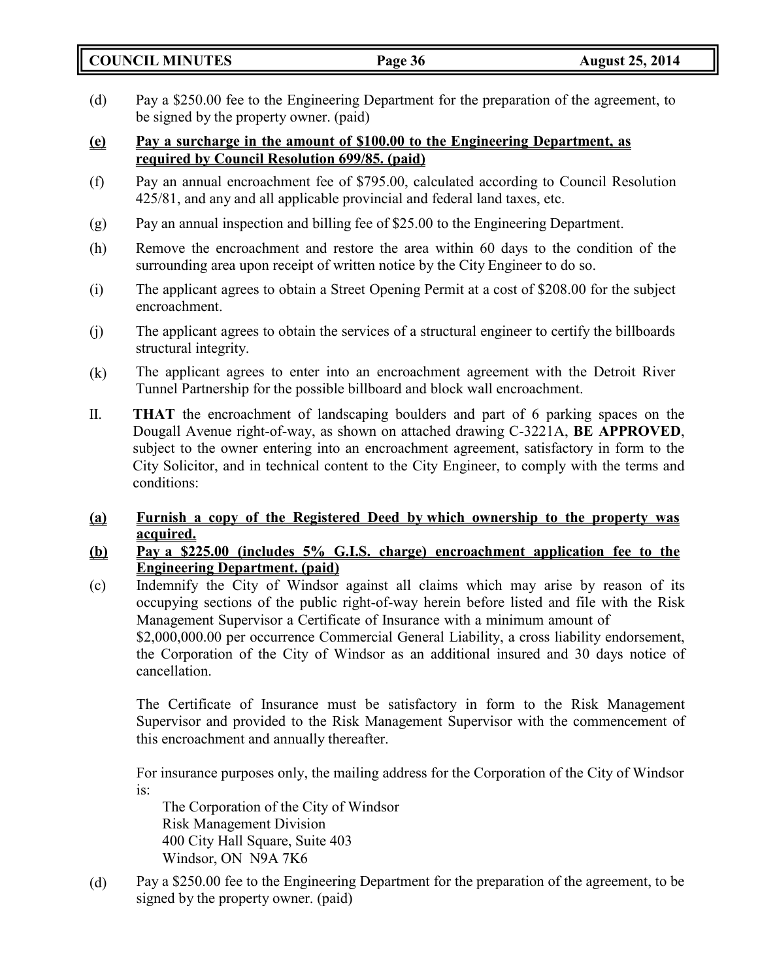**COUNCIL MINUTES Page 36 August 25, 2014**

- (d) Pay a \$250.00 fee to the Engineering Department for the preparation of the agreement, to be signed by the property owner. (paid)
- **(e) Pay a surcharge in the amount of \$100.00 to the Engineering Department, as required by Council Resolution 699/85. (paid)**
- (f) Pay an annual encroachment fee of \$795.00, calculated according to Council Resolution 425/81, and any and all applicable provincial and federal land taxes, etc.
- (g) Pay an annual inspection and billing fee of \$25.00 to the Engineering Department.
- (h) Remove the encroachment and restore the area within 60 days to the condition of the surrounding area upon receipt of written notice by the City Engineer to do so.
- (i) The applicant agrees to obtain a Street Opening Permit at a cost of \$208.00 for the subject encroachment.
- (j) The applicant agrees to obtain the services of a structural engineer to certify the billboards structural integrity.
- (k) The applicant agrees to enter into an encroachment agreement with the Detroit River Tunnel Partnership for the possible billboard and block wall encroachment.
- II. **THAT** the encroachment of landscaping boulders and part of 6 parking spaces on the Dougall Avenue right-of-way, as shown on attached drawing C-3221A, **BE APPROVED**, subject to the owner entering into an encroachment agreement, satisfactory in form to the City Solicitor, and in technical content to the City Engineer, to comply with the terms and conditions:
- **(a) Furnish a copy of the Registered Deed by which ownership to the property was acquired.**
- **(b) Pay a \$225.00 (includes 5% G.I.S. charge) encroachment application fee to the Engineering Department. (paid)**
- (c) Indemnify the City of Windsor against all claims which may arise by reason of its occupying sections of the public right-of-way herein before listed and file with the Risk Management Supervisor a Certificate of Insurance with a minimum amount of \$2,000,000.00 per occurrence Commercial General Liability, a cross liability endorsement, the Corporation of the City of Windsor as an additional insured and 30 days notice of cancellation.

The Certificate of Insurance must be satisfactory in form to the Risk Management Supervisor and provided to the Risk Management Supervisor with the commencement of this encroachment and annually thereafter.

For insurance purposes only, the mailing address for the Corporation of the City of Windsor is:

The Corporation of the City of Windsor Risk Management Division 400 City Hall Square, Suite 403 Windsor, ON N9A 7K6

(d) Pay a \$250.00 fee to the Engineering Department for the preparation of the agreement, to be signed by the property owner. (paid)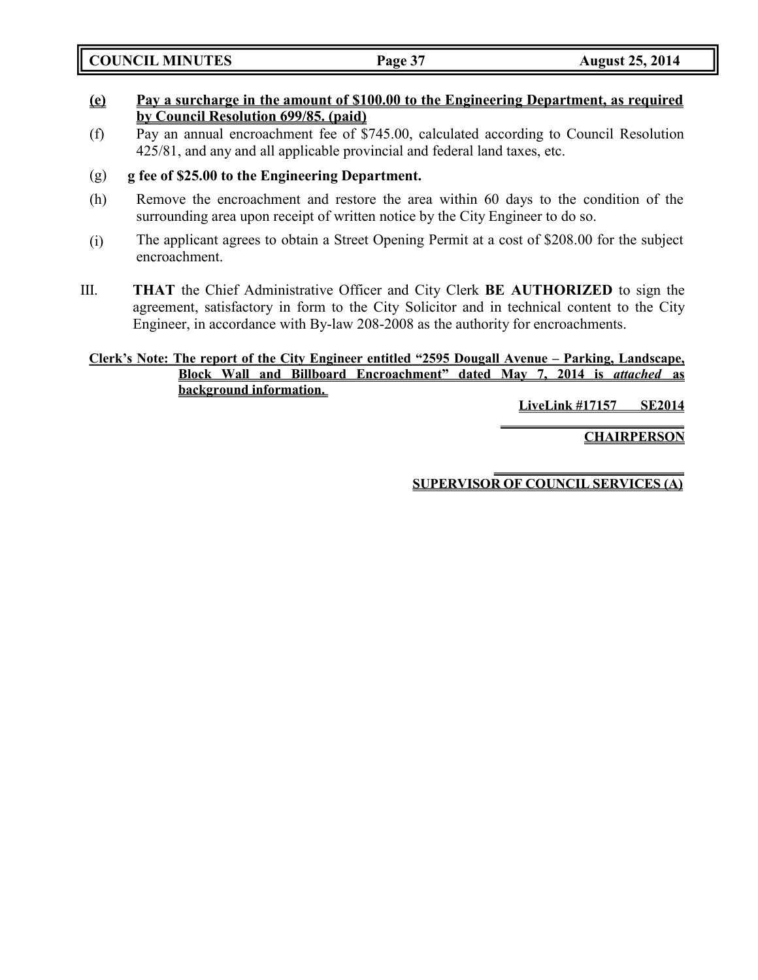**COUNCIL MINUTES Page 37 August 25, 2014**

## **(e) Pay a surcharge in the amount of \$100.00 to the Engineering Department, as required by Council Resolution 699/85. (paid)**

(f) Pay an annual encroachment fee of \$745.00, calculated according to Council Resolution 425/81, and any and all applicable provincial and federal land taxes, etc.

## (g) **g fee of \$25.00 to the Engineering Department.**

- (h) Remove the encroachment and restore the area within 60 days to the condition of the surrounding area upon receipt of written notice by the City Engineer to do so.
- (i) The applicant agrees to obtain a Street Opening Permit at a cost of \$208.00 for the subject encroachment.
- III. **THAT** the Chief Administrative Officer and City Clerk **BE AUTHORIZED** to sign the agreement, satisfactory in form to the City Solicitor and in technical content to the City Engineer, in accordance with By-law 208-2008 as the authority for encroachments.

## **Clerk's Note: The report of the City Engineer entitled "2595 Dougall Avenue – Parking, Landscape, Block Wall and Billboard Encroachment" dated May 7, 2014 is** *attached* **as background information.**

**LiveLink #17157 SE2014**

**CHAIRPERSON**

**SUPERVISOR OF COUNCIL SERVICES (A)**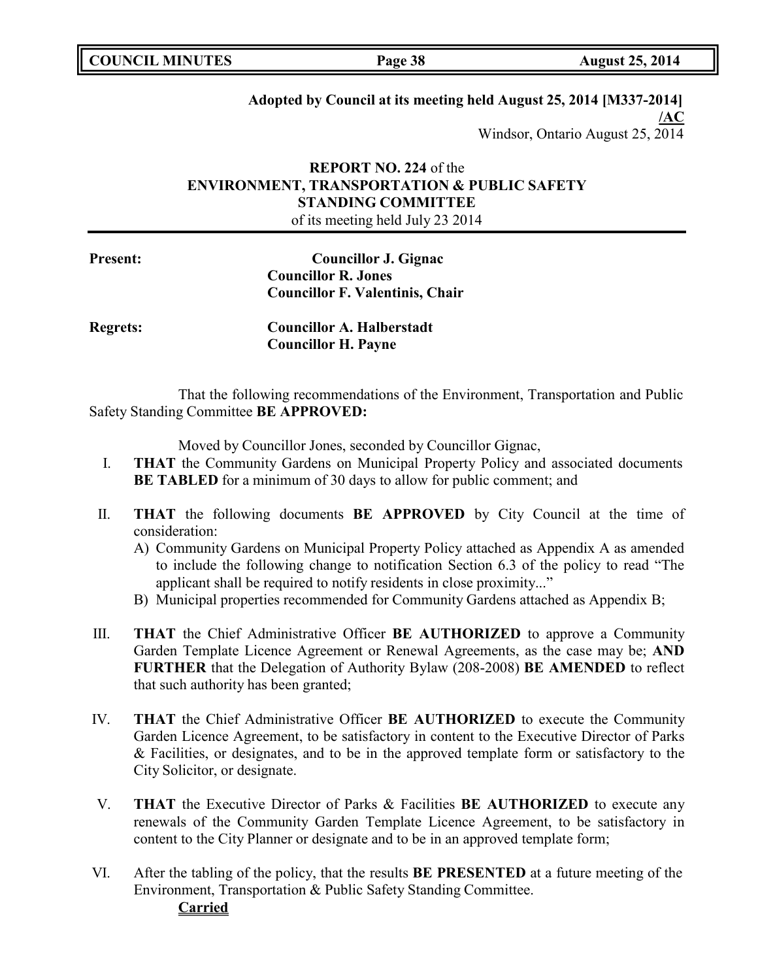**Page 38 August 25, 2014** 

## **Adopted by Council at its meeting held August 25, 2014 [M337-2014]**

**/AC** Windsor, Ontario August 25, 2014

## **REPORT NO. 224** of the **ENVIRONMENT, TRANSPORTATION & PUBLIC SAFETY STANDING COMMITTEE**

of its meeting held July 23 2014

**Present: Councillor J. Gignac Councillor R. Jones Councillor F. Valentinis, Chair**

| <b>Regrets:</b> | <b>Councillor A. Halberstadt</b> |
|-----------------|----------------------------------|
|                 | <b>Councillor H. Payne</b>       |

That the following recommendations of the Environment, Transportation and Public Safety Standing Committee **BE APPROVED:**

Moved by Councillor Jones, seconded by Councillor Gignac,

- I. **THAT** the Community Gardens on Municipal Property Policy and associated documents **BE TABLED** for a minimum of 30 days to allow for public comment; and
- II. **THAT** the following documents **BE APPROVED** by City Council at the time of consideration:
	- A) Community Gardens on Municipal Property Policy attached as Appendix A as amended to include the following change to notification Section 6.3 of the policy to read "The applicant shall be required to notify residents in close proximity..."
	- B) Municipal properties recommended for Community Gardens attached as Appendix B;
- III. **THAT** the Chief Administrative Officer **BE AUTHORIZED** to approve a Community Garden Template Licence Agreement or Renewal Agreements, as the case may be; **AND FURTHER** that the Delegation of Authority Bylaw (208-2008) **BE AMENDED** to reflect that such authority has been granted;
- IV. **THAT** the Chief Administrative Officer **BE AUTHORIZED** to execute the Community Garden Licence Agreement, to be satisfactory in content to the Executive Director of Parks & Facilities, or designates, and to be in the approved template form or satisfactory to the City Solicitor, or designate.
- V. **THAT** the Executive Director of Parks & Facilities **BE AUTHORIZED** to execute any renewals of the Community Garden Template Licence Agreement, to be satisfactory in content to the City Planner or designate and to be in an approved template form;
- VI. After the tabling of the policy, that the results **BE PRESENTED** at a future meeting of the Environment, Transportation & Public Safety Standing Committee. **Carried**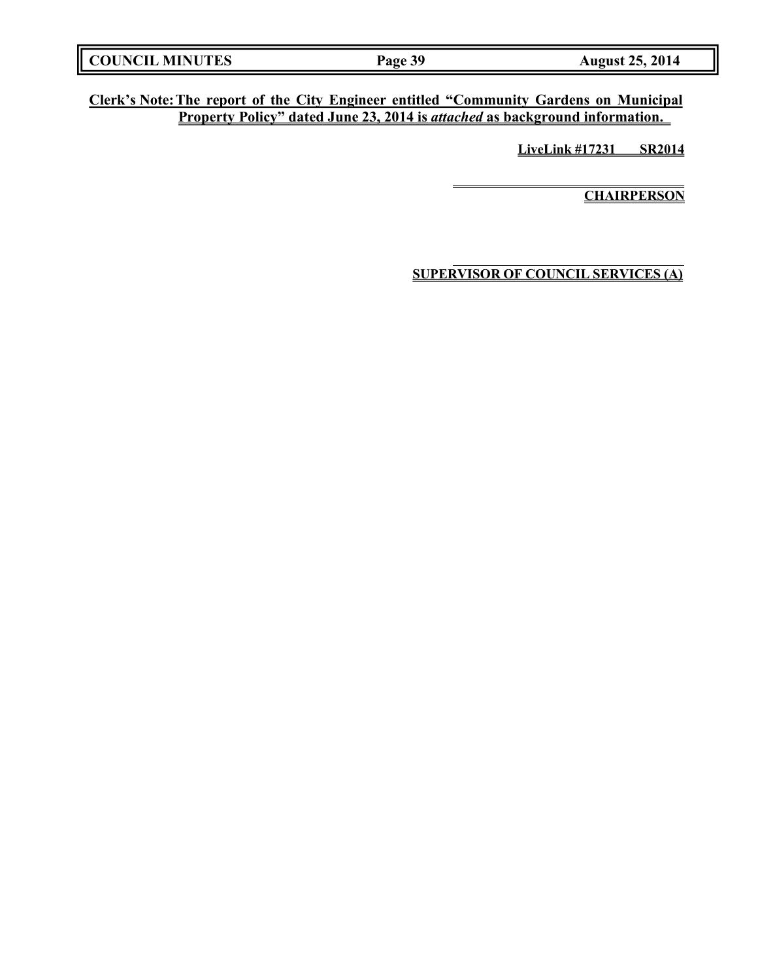| <b>COUNCIL MINUTES</b><br><b>August 25, 2014</b><br>Page 39 |
|-------------------------------------------------------------|
|-------------------------------------------------------------|

**Clerk's Note:The report of the City Engineer entitled "Community Gardens on Municipal Property Policy" dated June 23, 2014 is** *attached* **as background information.** 

**LiveLink #17231 SR2014**

**CHAIRPERSON**

**SUPERVISOR OF COUNCIL SERVICES (A)**